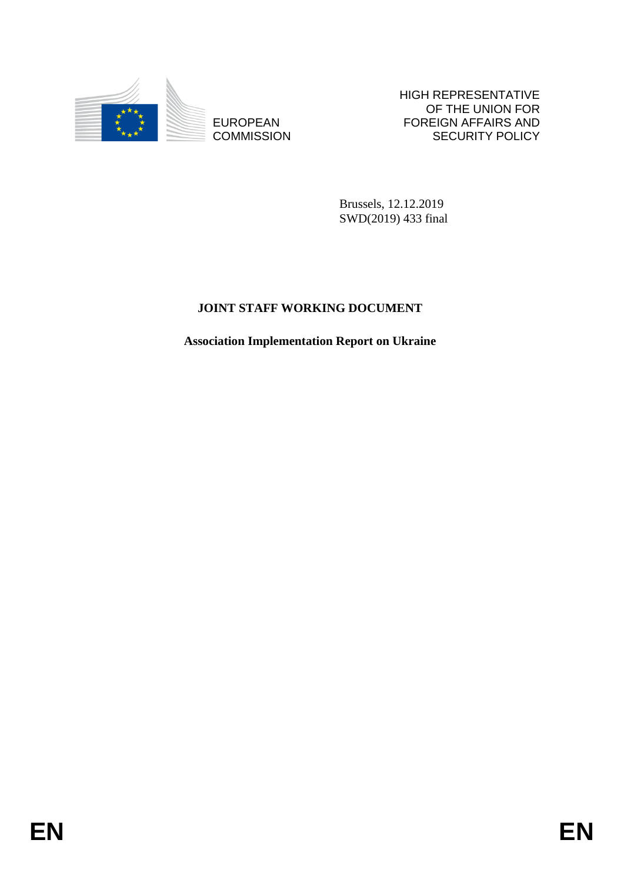

**COMMISSION** 

HIGH REPRESENTATIVE OF THE UNION FOR FOREIGN AFFAIRS AND SECURITY POLICY

Brussels, 12.12.2019 SWD(2019) 433 final

# **JOINT STAFF WORKING DOCUMENT**

EUROPEAN FOREIGN FOREIGN FRAME SCURPT FOLLY<br>
ECONOMISSION<br>
ENGAL 12.12.2019<br>
NEWS20191433 Trail<br>
JOLYT STAFF WORKING DOCUMENT<br>
Association Implementation Report on Ukraine<br> **EN Association Implementation Report on Ukraine**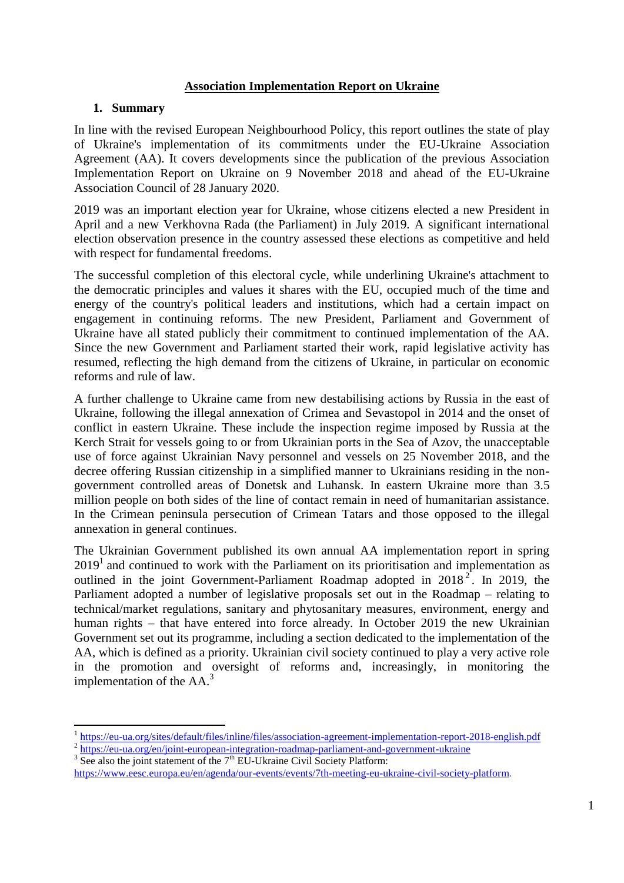#### **Association Implementation Report on Ukraine**

#### **1. Summary**

In line with the revised European Neighbourhood Policy, this report outlines the state of play of Ukraine's implementation of its commitments under the EU-Ukraine Association Agreement (AA). It covers developments since the publication of the previous Association Implementation Report on Ukraine on 9 November 2018 and ahead of the EU-Ukraine Association Council of 28 January 2020.

2019 was an important election year for Ukraine, whose citizens elected a new President in April and a new Verkhovna Rada (the Parliament) in July 2019. A significant international election observation presence in the country assessed these elections as competitive and held with respect for fundamental freedoms.

The successful completion of this electoral cycle, while underlining Ukraine's attachment to the democratic principles and values it shares with the EU, occupied much of the time and energy of the country's political leaders and institutions, which had a certain impact on engagement in continuing reforms. The new President, Parliament and Government of Ukraine have all stated publicly their commitment to continued implementation of the AA. Since the new Government and Parliament started their work, rapid legislative activity has resumed, reflecting the high demand from the citizens of Ukraine, in particular on economic reforms and rule of law.

A further challenge to Ukraine came from new destabilising actions by Russia in the east of Ukraine, following the illegal annexation of Crimea and Sevastopol in 2014 and the onset of conflict in eastern Ukraine. These include the inspection regime imposed by Russia at the Kerch Strait for vessels going to or from Ukrainian ports in the Sea of Azov, the unacceptable use of force against Ukrainian Navy personnel and vessels on 25 November 2018, and the decree offering Russian citizenship in a simplified manner to Ukrainians residing in the nongovernment controlled areas of Donetsk and Luhansk. In eastern Ukraine more than 3.5 million people on both sides of the line of contact remain in need of humanitarian assistance. In the Crimean peninsula persecution of Crimean Tatars and those opposed to the illegal annexation in general continues.

The Ukrainian Government published its own annual AA implementation report in spring  $2019<sup>1</sup>$  and continued to work with the Parliament on its prioritisation and implementation as outlined in the joint Government-Parliament Roadmap adopted in  $2018^2$ . In 2019, the Parliament adopted a number of legislative proposals set out in the Roadmap – relating to technical/market regulations, sanitary and phytosanitary measures, environment, energy and human rights – that have entered into force already. In October 2019 the new Ukrainian Government set out its programme, including a section dedicated to the implementation of the AA, which is defined as a priority. Ukrainian civil society continued to play a very active role in the promotion and oversight of reforms and, increasingly, in monitoring the implementation of the AA. 3

<sup>1</sup> <https://eu-ua.org/sites/default/files/inline/files/association-agreement-implementation-report-2018-english.pdf> <sup>2</sup> <https://eu-ua.org/en/joint-european-integration-roadmap-parliament-and-government-ukraine>

 $3$  See also the joint statement of the  $7<sup>th</sup>$  EU-Ukraine Civil Society Platform:

[https://www.eesc.europa.eu/en/agenda/our-events/events/7th-meeting-eu-ukraine-civil-society-platform.](https://www.eesc.europa.eu/en/agenda/our-events/events/7th-meeting-eu-ukraine-civil-society-platform)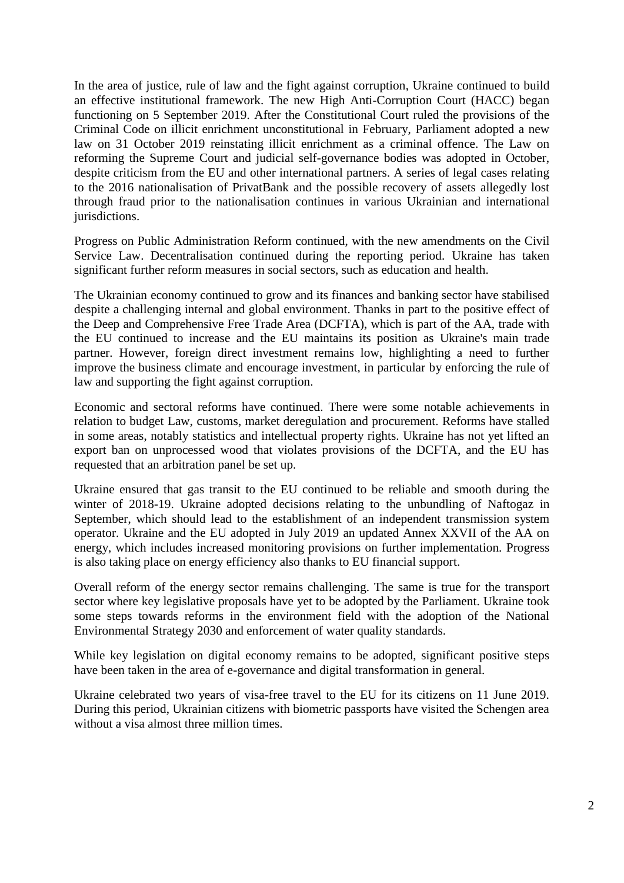In the area of justice, rule of law and the fight against corruption, Ukraine continued to build an effective institutional framework. The new High Anti-Corruption Court (HACC) began functioning on 5 September 2019. After the Constitutional Court ruled the provisions of the Criminal Code on illicit enrichment unconstitutional in February, Parliament adopted a new law on 31 October 2019 reinstating illicit enrichment as a criminal offence. The Law on reforming the Supreme Court and judicial self-governance bodies was adopted in October, despite criticism from the EU and other international partners. A series of legal cases relating to the 2016 nationalisation of PrivatBank and the possible recovery of assets allegedly lost through fraud prior to the nationalisation continues in various Ukrainian and international jurisdictions.

Progress on Public Administration Reform continued, with the new amendments on the Civil Service Law. Decentralisation continued during the reporting period. Ukraine has taken significant further reform measures in social sectors, such as education and health.

The Ukrainian economy continued to grow and its finances and banking sector have stabilised despite a challenging internal and global environment. Thanks in part to the positive effect of the Deep and Comprehensive Free Trade Area (DCFTA), which is part of the AA, trade with the EU continued to increase and the EU maintains its position as Ukraine's main trade partner. However, foreign direct investment remains low, highlighting a need to further improve the business climate and encourage investment, in particular by enforcing the rule of law and supporting the fight against corruption.

Economic and sectoral reforms have continued. There were some notable achievements in relation to budget Law, customs, market deregulation and procurement. Reforms have stalled in some areas, notably statistics and intellectual property rights. Ukraine has not yet lifted an export ban on unprocessed wood that violates provisions of the DCFTA, and the EU has requested that an arbitration panel be set up.

Ukraine ensured that gas transit to the EU continued to be reliable and smooth during the winter of 2018-19. Ukraine adopted decisions relating to the unbundling of Naftogaz in September, which should lead to the establishment of an independent transmission system operator. Ukraine and the EU adopted in July 2019 an updated Annex XXVII of the AA on energy, which includes increased monitoring provisions on further implementation. Progress is also taking place on energy efficiency also thanks to EU financial support.

Overall reform of the energy sector remains challenging. The same is true for the transport sector where key legislative proposals have yet to be adopted by the Parliament. Ukraine took some steps towards reforms in the environment field with the adoption of the National Environmental Strategy 2030 and enforcement of water quality standards.

While key legislation on digital economy remains to be adopted, significant positive steps have been taken in the area of e-governance and digital transformation in general.

Ukraine celebrated two years of visa-free travel to the EU for its citizens on 11 June 2019. During this period, Ukrainian citizens with biometric passports have visited the Schengen area without a visa almost three million times.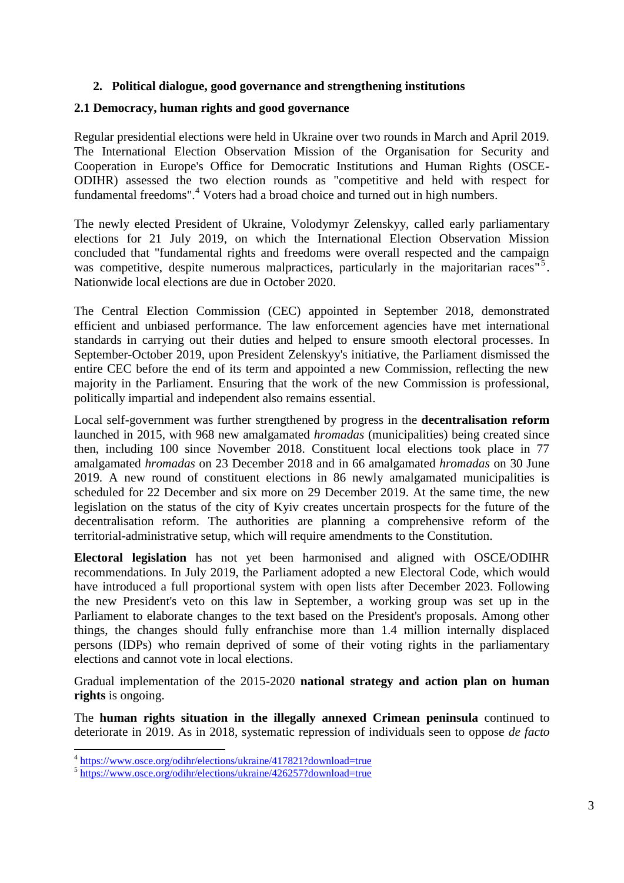## **2. Political dialogue, good governance and strengthening institutions**

#### **2.1 Democracy, human rights and good governance**

Regular presidential elections were held in Ukraine over two rounds in March and April 2019. The International Election Observation Mission of the Organisation for Security and Cooperation in Europe's Office for Democratic Institutions and Human Rights (OSCE-ODIHR) assessed the two election rounds as "competitive and held with respect for fundamental freedoms".<sup>4</sup> Voters had a broad choice and turned out in high numbers.

The newly elected President of Ukraine, Volodymyr Zelenskyy, called early parliamentary elections for 21 July 2019, on which the International Election Observation Mission concluded that "fundamental rights and freedoms were overall respected and the campaign was competitive, despite numerous malpractices, particularly in the majoritarian races<sup>"5</sup>. Nationwide local elections are due in October 2020.

The Central Election Commission (CEC) appointed in September 2018, demonstrated efficient and unbiased performance. The law enforcement agencies have met international standards in carrying out their duties and helped to ensure smooth electoral processes. In September-October 2019, upon President Zelenskyy's initiative, the Parliament dismissed the entire CEC before the end of its term and appointed a new Commission, reflecting the new majority in the Parliament. Ensuring that the work of the new Commission is professional, politically impartial and independent also remains essential.

Local self-government was further strengthened by progress in the **decentralisation reform** launched in 2015, with 968 new amalgamated *hromadas* (municipalities) being created since then, including 100 since November 2018. Constituent local elections took place in 77 amalgamated *hromadas* on 23 December 2018 and in 66 amalgamated *hromadas* on 30 June 2019. A new round of constituent elections in 86 newly amalgamated municipalities is scheduled for 22 December and six more on 29 December 2019. At the same time, the new legislation on the status of the city of Kyiv creates uncertain prospects for the future of the decentralisation reform. The authorities are planning a comprehensive reform of the territorial-administrative setup, which will require amendments to the Constitution.

**Electoral legislation** has not yet been harmonised and aligned with OSCE/ODIHR recommendations. In July 2019, the Parliament adopted a new Electoral Code, which would have introduced a full proportional system with open lists after December 2023. Following the new President's veto on this law in September, a working group was set up in the Parliament to elaborate changes to the text based on the President's proposals. Among other things, the changes should fully enfranchise more than 1.4 million internally displaced persons (IDPs) who remain deprived of some of their voting rights in the parliamentary elections and cannot vote in local elections.

Gradual implementation of the 2015-2020 **national strategy and action plan on human rights** is ongoing.

The **human rights situation in the illegally annexed Crimean peninsula** continued to deteriorate in 2019. As in 2018, systematic repression of individuals seen to oppose *de facto*

 4 <https://www.osce.org/odihr/elections/ukraine/417821?download=true>

<sup>&</sup>lt;sup>5</sup> https://www.osce.org/odihr/elections/ukraine/426257?download=true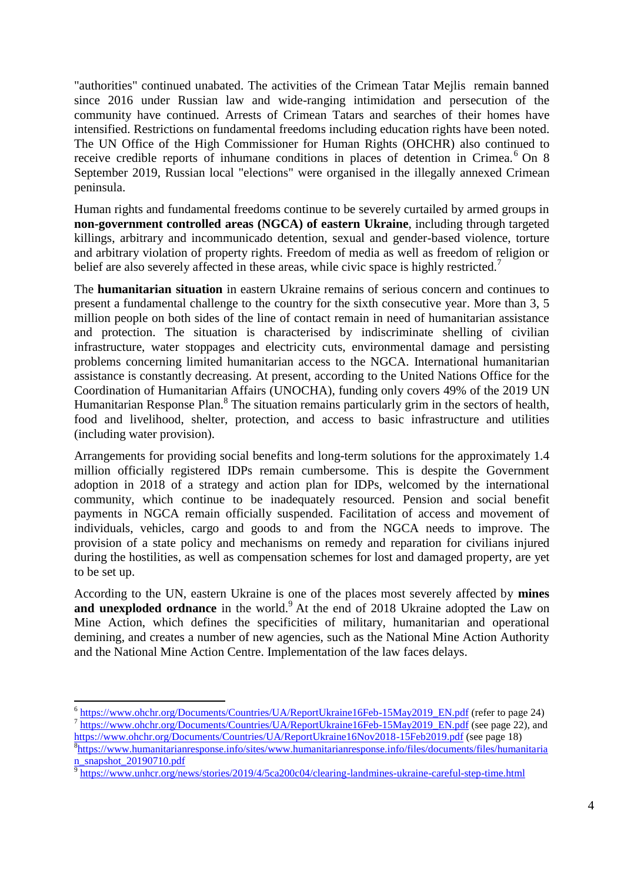"authorities" continued unabated. The activities of the Crimean Tatar Mejlis remain banned since 2016 under Russian law and wide-ranging intimidation and persecution of the community have continued. Arrests of Crimean Tatars and searches of their homes have intensified. Restrictions on fundamental freedoms including education rights have been noted. The UN Office of the High Commissioner for Human Rights (OHCHR) also continued to receive credible reports of inhumane conditions in places of detention in Crimea.<sup>6</sup> On 8 September 2019, Russian local "elections" were organised in the illegally annexed Crimean peninsula.

Human rights and fundamental freedoms continue to be severely curtailed by armed groups in **non-government controlled areas (NGCA) of eastern Ukraine**, including through targeted killings, arbitrary and incommunicado detention, sexual and gender-based violence, torture and arbitrary violation of property rights. Freedom of media as well as freedom of religion or belief are also severely affected in these areas, while civic space is highly restricted.<sup>7</sup>

The **humanitarian situation** in eastern Ukraine remains of serious concern and continues to present a fundamental challenge to the country for the sixth consecutive year. More than 3, 5 million people on both sides of the line of contact remain in need of humanitarian assistance and protection. The situation is characterised by indiscriminate shelling of civilian infrastructure, water stoppages and electricity cuts, environmental damage and persisting problems concerning limited humanitarian access to the NGCA. International humanitarian assistance is constantly decreasing. At present, according to the United Nations Office for the Coordination of Humanitarian Affairs (UNOCHA), funding only covers 49% of the 2019 UN Humanitarian Response Plan.<sup>8</sup> The situation remains particularly grim in the sectors of health, food and livelihood, shelter, protection, and access to basic infrastructure and utilities (including water provision).

Arrangements for providing social benefits and long-term solutions for the approximately 1.4 million officially registered IDPs remain cumbersome. This is despite the Government adoption in 2018 of a strategy and action plan for IDPs, welcomed by the international community, which continue to be inadequately resourced. Pension and social benefit payments in NGCA remain officially suspended. Facilitation of access and movement of individuals, vehicles, cargo and goods to and from the NGCA needs to improve. The provision of a state policy and mechanisms on remedy and reparation for civilians injured during the hostilities, as well as compensation schemes for lost and damaged property, are yet to be set up.

According to the UN, eastern Ukraine is one of the places most severely affected by **mines and unexploded ordnance** in the world.<sup>9</sup> At the end of 2018 Ukraine adopted the Law on Mine Action, which defines the specificities of military, humanitarian and operational demining, and creates a number of new agencies, such as the National Mine Action Authority and the National Mine Action Centre. Implementation of the law faces delays.

 6 [https://www.ohchr.org/Documents/Countries/UA/ReportUkraine16Feb-15May2019\\_EN.pdf](https://www.ohchr.org/Documents/Countries/UA/ReportUkraine16Feb-15May2019_EN.pdf) (refer to page 24) <sup>7</sup> [https://www.ohchr.org/Documents/Countries/UA/ReportUkraine16Feb-15May2019\\_EN.pdf](https://www.ohchr.org/Documents/Countries/UA/ReportUkraine16Feb-15May2019_EN.pdf) (see page 22), and

<https://www.ohchr.org/Documents/Countries/UA/ReportUkraine16Nov2018-15Feb2019.pdf> (see page 18) 8 [https://www.humanitarianresponse.info/sites/www.humanitarianresponse.info/files/documents/files/humanitaria](https://www.humanitarianresponse.info/sites/www.humanitarianresponse.info/files/documents/files/humanitarian_snapshot_20190710.pdf) [n\\_snapshot\\_20190710.pdf](https://www.humanitarianresponse.info/sites/www.humanitarianresponse.info/files/documents/files/humanitarian_snapshot_20190710.pdf)

<sup>&</sup>lt;sup>9</sup> <https://www.unhcr.org/news/stories/2019/4/5ca200c04/clearing-landmines-ukraine-careful-step-time.html>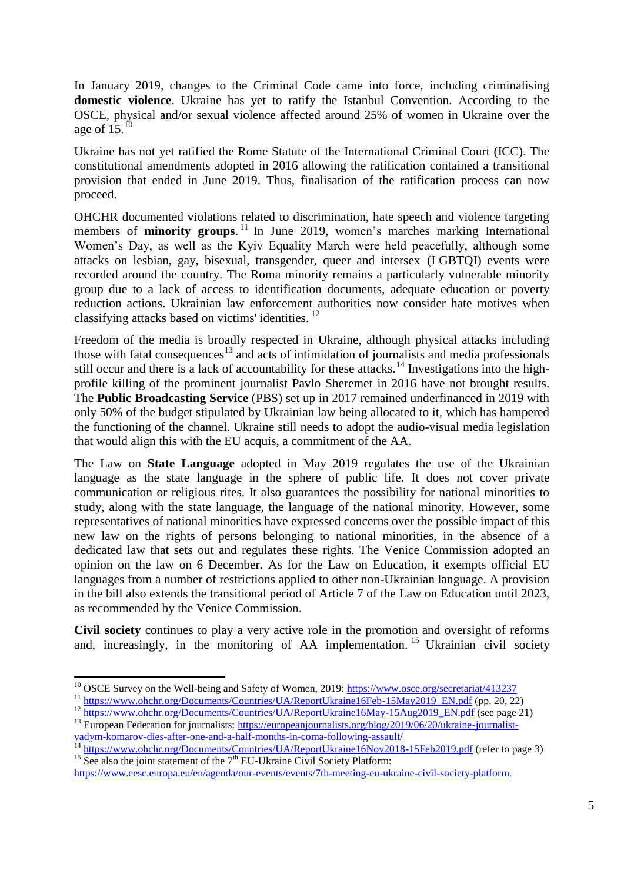In January 2019, changes to the Criminal Code came into force, including criminalising **domestic violence**. Ukraine has yet to ratify the Istanbul Convention. According to the OSCE, physical and/or sexual violence affected around 25% of women in Ukraine over the age of  $15.^{10}$ 

Ukraine has not yet ratified the Rome Statute of the International Criminal Court (ICC). The constitutional amendments adopted in 2016 allowing the ratification contained a transitional provision that ended in June 2019. Thus, finalisation of the ratification process can now proceed.

OHCHR documented violations related to discrimination, hate speech and violence targeting members of **minority groups.**<sup>11</sup> In June 2019, women's marches marking International Women's Day, as well as the Kyiv Equality March were held peacefully, although some attacks on lesbian, gay, bisexual, transgender, queer and intersex (LGBTQI) events were recorded around the country. The Roma minority remains a particularly vulnerable minority group due to a lack of access to identification documents, adequate education or poverty reduction actions. Ukrainian law enforcement authorities now consider hate motives when classifying attacks based on victims' identities. <sup>12</sup>

Freedom of the media is broadly respected in Ukraine, although physical attacks including those with fatal consequences<sup>13</sup> and acts of intimidation of journalists and media professionals still occur and there is a lack of accountability for these attacks.<sup>14</sup> Investigations into the highprofile killing of the prominent journalist Pavlo Sheremet in 2016 have not brought results. The **Public Broadcasting Service** (PBS) set up in 2017 remained underfinanced in 2019 with only 50% of the budget stipulated by Ukrainian law being allocated to it, which has hampered the functioning of the channel. Ukraine still needs to adopt the audio-visual media legislation that would align this with the EU acquis, a commitment of the AA.

The Law on **State Language** adopted in May 2019 regulates the use of the Ukrainian language as the state language in the sphere of public life. It does not cover private communication or religious rites. It also guarantees the possibility for national minorities to study, along with the state language, the language of the national minority. However, some representatives of national minorities have expressed concerns over the possible impact of this new law on the rights of persons belonging to national minorities, in the absence of a dedicated law that sets out and regulates these rights. The Venice Commission adopted an opinion on the law on 6 December. As for the Law on Education, it exempts official EU languages from a number of restrictions applied to other non-Ukrainian language. A provision in the bill also extends the transitional period of Article 7 of the Law on Education until 2023, as recommended by the Venice Commission.

**Civil society** continues to play a very active role in the promotion and oversight of reforms and, increasingly, in the monitoring of AA implementation.<sup>15</sup> Ukrainian civil society

<sup>&</sup>lt;sup>10</sup> OSCE Survey on the Well-being and Safety of Women, 2019: [https://www.osce.org/secretariat/413237](https://www.osce.org/secretariat/413237?download=true)

<sup>&</sup>lt;sup>11</sup> [https://www.ohchr.org/Documents/Countries/UA/ReportUkraine16Feb-15May2019\\_EN.pdf](https://www.ohchr.org/Documents/Countries/UA/ReportUkraine16Feb-15May2019_EN.pdf) (pp. 20, 22)

<sup>&</sup>lt;sup>12</sup> [https://www.ohchr.org/Documents/Countries/UA/ReportUkraine16May-15Aug2019\\_EN.pdf](https://www.ohchr.org/Documents/Countries/UA/ReportUkraine16May-15Aug2019_EN.pdf) (see page 21) <sup>13</sup> European Federation for journalists: [https://europeanjournalists.org/blog/2019/06/20/ukraine-journalist-](https://europeanjournalists.org/blog/2019/06/20/ukraine-journalist-vadym-komarov-dies-after-one-and-a-half-months-in-coma-following-assault/)

[vadym-komarov-dies-after-one-and-a-half-months-in-coma-following-assault/](https://europeanjournalists.org/blog/2019/06/20/ukraine-journalist-vadym-komarov-dies-after-one-and-a-half-months-in-coma-following-assault/) <sup>14</sup> <https://www.ohchr.org/Documents/Countries/UA/ReportUkraine16Nov2018-15Feb2019.pdf> (refer to page 3)

<sup>&</sup>lt;sup>15</sup> See also the joint statement of the  $7<sup>th</sup>$  EU-Ukraine Civil Society Platform: [https://www.eesc.europa.eu/en/agenda/our-events/events/7th-meeting-eu-ukraine-civil-society-platform.](https://www.eesc.europa.eu/en/agenda/our-events/events/7th-meeting-eu-ukraine-civil-society-platform)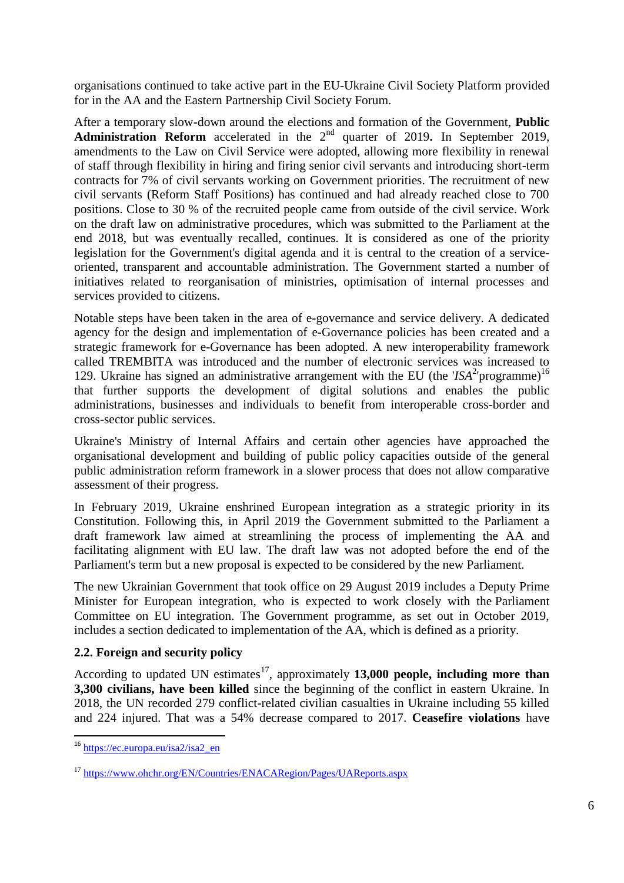organisations continued to take active part in the EU-Ukraine Civil Society Platform provided for in the AA and the Eastern Partnership Civil Society Forum.

After a temporary slow-down around the elections and formation of the Government, **Public Administration Reform** accelerated in the 2nd quarter of 2019**.** In September 2019, amendments to the Law on Civil Service were adopted, allowing more flexibility in renewal of staff through flexibility in hiring and firing senior civil servants and introducing short-term contracts for 7% of civil servants working on Government priorities. The recruitment of new civil servants (Reform Staff Positions) has continued and had already reached close to 700 positions. Close to 30 % of the recruited people came from outside of the civil service. Work on the draft law on administrative procedures, which was submitted to the Parliament at the end 2018, but was eventually recalled, continues. It is considered as one of the priority legislation for the Government's digital agenda and it is central to the creation of a serviceoriented, transparent and accountable administration. The Government started a number of initiatives related to reorganisation of ministries, optimisation of internal processes and services provided to citizens.

Notable steps have been taken in the area of e-governance and service delivery. A dedicated agency for the design and implementation of e-Governance policies has been created and a strategic framework for e-Governance has been adopted. A new interoperability framework called TREMBITA was introduced and the number of electronic services was increased to 129. Ukraine has signed an administrative arrangement with the EU (the ' $ISA<sup>2</sup>$ <sup>16</sup>)<sup>16</sup> that further supports the development of digital solutions and enables the public administrations, businesses and individuals to benefit from interoperable cross-border and cross-sector public services.

Ukraine's Ministry of Internal Affairs and certain other agencies have approached the organisational development and building of public policy capacities outside of the general public administration reform framework in a slower process that does not allow comparative assessment of their progress.

In February 2019, Ukraine enshrined European integration as a strategic priority in its Constitution. Following this, in April 2019 the Government submitted to the Parliament a draft framework law aimed at streamlining the process of implementing the AA and facilitating alignment with EU law. The draft law was not adopted before the end of the Parliament's term but a new proposal is expected to be considered by the new Parliament.

The new Ukrainian Government that took office on 29 August 2019 includes a Deputy Prime Minister for European integration, who is expected to work closely with the Parliament Committee on EU integration. The Government programme, as set out in October 2019, includes a section dedicated to implementation of the AA, which is defined as a priority.

## **2.2. Foreign and security policy**

According to updated UN estimates<sup>17</sup>, approximately **13,000 people, including more than 3,300 civilians, have been killed** since the beginning of the conflict in eastern Ukraine. In 2018, the UN recorded 279 conflict-related civilian casualties in Ukraine including 55 killed and 224 injured. That was a 54% decrease compared to 2017. **Ceasefire violations** have

<sup>&</sup>lt;sup>16</sup> [https://ec.europa.eu/isa2/isa2\\_en](https://ec.europa.eu/isa2/isa2_en)

<sup>17</sup> <https://www.ohchr.org/EN/Countries/ENACARegion/Pages/UAReports.aspx>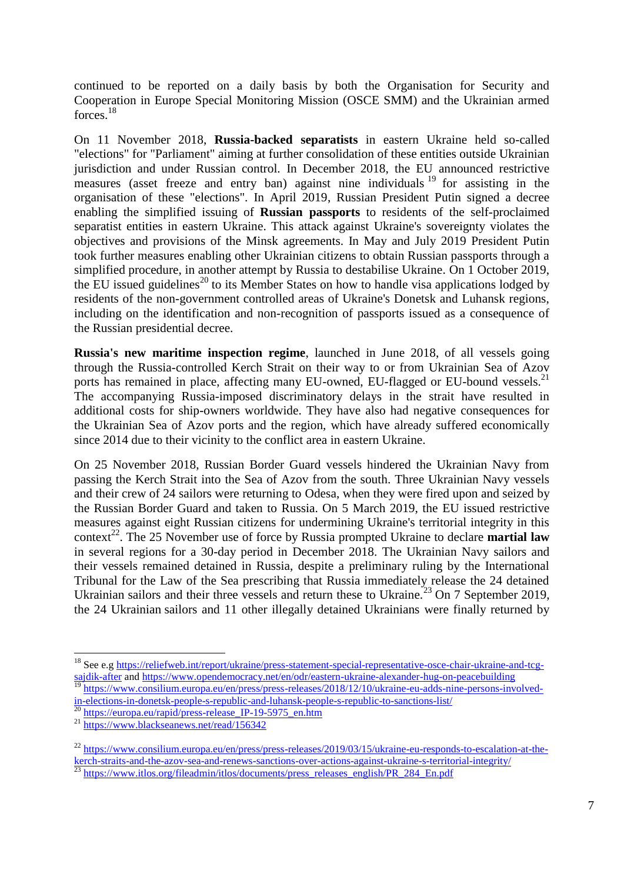continued to be reported on a daily basis by both the Organisation for Security and Cooperation in Europe Special Monitoring Mission (OSCE SMM) and the Ukrainian armed forces<sup>18</sup>

On 11 November 2018, **Russia-backed separatists** in eastern Ukraine held so-called "elections" for "Parliament" aiming at further consolidation of these entities outside Ukrainian jurisdiction and under Russian control. In December 2018, the EU announced restrictive measures (asset freeze and entry ban) against nine individuals  $19$  for assisting in the organisation of these "elections". In April 2019, Russian President Putin signed a decree enabling the simplified issuing of **Russian passports** to residents of the self-proclaimed separatist entities in eastern Ukraine. This attack against Ukraine's sovereignty violates the objectives and provisions of the Minsk agreements. In May and July 2019 President Putin took further measures enabling other Ukrainian citizens to obtain Russian passports through a simplified procedure, in another attempt by Russia to destabilise Ukraine. On 1 October 2019, the EU issued guidelines<sup>20</sup> to its Member States on how to handle visa applications lodged by residents of the non-government controlled areas of Ukraine's Donetsk and Luhansk regions, including on the identification and non-recognition of passports issued as a consequence of the Russian presidential decree.

**Russia's new maritime inspection regime**, launched in June 2018, of all vessels going through the Russia-controlled Kerch Strait on their way to or from Ukrainian Sea of Azov ports has remained in place, affecting many EU-owned, EU-flagged or EU-bound vessels.<sup>21</sup> The accompanying Russia-imposed discriminatory delays in the strait have resulted in additional costs for ship-owners worldwide. They have also had negative consequences for the Ukrainian Sea of Azov ports and the region, which have already suffered economically since 2014 due to their vicinity to the conflict area in eastern Ukraine.

On 25 November 2018, Russian Border Guard vessels hindered the Ukrainian Navy from passing the Kerch Strait into the Sea of Azov from the south. Three Ukrainian Navy vessels and their crew of 24 sailors were returning to Odesa, when they were fired upon and seized by the Russian Border Guard and taken to Russia. On 5 March 2019, the EU issued restrictive measures against eight Russian citizens for undermining Ukraine's territorial integrity in this context<sup>22</sup>. The 25 November use of force by Russia prompted Ukraine to declare **martial law** in several regions for a 30-day period in December 2018. The Ukrainian Navy sailors and their vessels remained detained in Russia, despite a preliminary ruling by the International Tribunal for the Law of the Sea prescribing that Russia immediately release the 24 detained Ukrainian sailors and their three vessels and return these to Ukraine.<sup>23</sup> On 7 September 2019, the 24 Ukrainian sailors and 11 other illegally detained Ukrainians were finally returned by

<sup>18</sup> See e.g [https://reliefweb.int/report/ukraine/press-statement-special-representative-osce-chair-ukraine-and-tcg](https://reliefweb.int/report/ukraine/press-statement-special-representative-osce-chair-ukraine-and-tcg-sajdik-after)[sajdik-after](https://reliefweb.int/report/ukraine/press-statement-special-representative-osce-chair-ukraine-and-tcg-sajdik-after) and<https://www.opendemocracy.net/en/odr/eastern-ukraine-alexander-hug-on-peacebuilding> <sup>19</sup> [https://www.consilium.europa.eu/en/press/press-releases/2018/12/10/ukraine-eu-adds-nine-persons-involved-](https://www.consilium.europa.eu/en/press/press-releases/2018/12/10/ukraine-eu-adds-nine-persons-involved-in-elections-in-donetsk-people-s-republic-and-luhansk-people-s-republic-to-sanctions-list/)

[in-elections-in-donetsk-people-s-republic-and-luhansk-people-s-republic-to-sanctions-list/](https://www.consilium.europa.eu/en/press/press-releases/2018/12/10/ukraine-eu-adds-nine-persons-involved-in-elections-in-donetsk-people-s-republic-and-luhansk-people-s-republic-to-sanctions-list/)<br>20 https://www.communications-list/

<sup>&</sup>lt;sup>20</sup> [https://europa.eu/rapid/press-release\\_IP-19-5975\\_en.htm](https://europa.eu/rapid/press-release_IP-19-5975_en.htm)

<sup>&</sup>lt;sup>21</sup> <https://www.blackseanews.net/read/156342>

<sup>&</sup>lt;sup>22</sup> [https://www.consilium.europa.eu/en/press/press-releases/2019/03/15/ukraine-eu-responds-to-escalation-at-the](https://www.consilium.europa.eu/en/press/press-releases/2019/03/15/ukraine-eu-responds-to-escalation-at-the-kerch-straits-and-the-azov-sea-and-renews-sanctions-over-actions-against-ukraine-s-territorial-integrity/)[kerch-straits-and-the-azov-sea-and-renews-sanctions-over-actions-against-ukraine-s-territorial-integrity/](https://www.consilium.europa.eu/en/press/press-releases/2019/03/15/ukraine-eu-responds-to-escalation-at-the-kerch-straits-and-the-azov-sea-and-renews-sanctions-over-actions-against-ukraine-s-territorial-integrity/)<br>
<sup>23</sup> https://www.itles.org/fileadwin/idee/d <sup>23</sup> [https://www.itlos.org/fileadmin/itlos/documents/press\\_releases\\_english/PR\\_284\\_En.pdf](https://www.itlos.org/fileadmin/itlos/documents/press_releases_english/PR_284_En.pdf)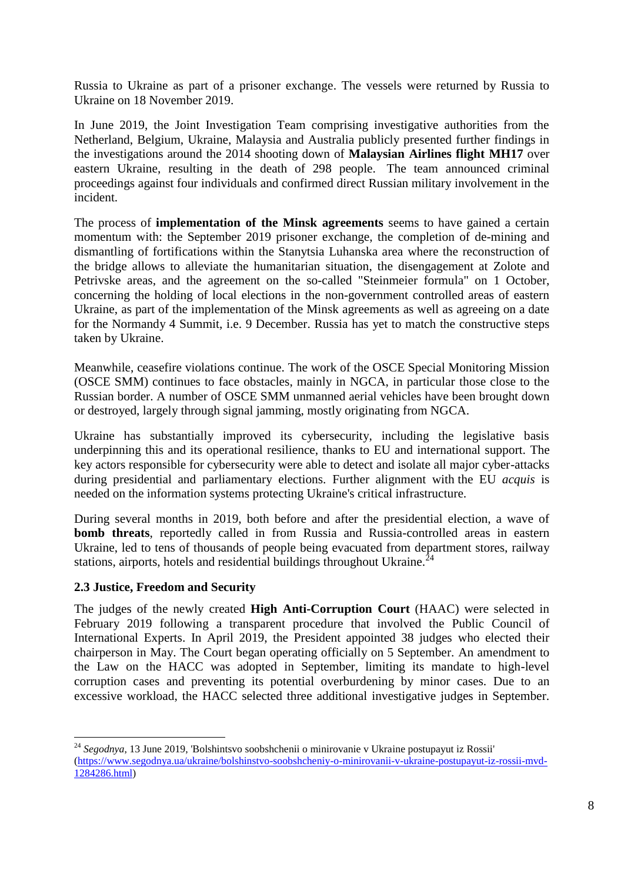Russia to Ukraine as part of a prisoner exchange. The vessels were returned by Russia to Ukraine on 18 November 2019.

In June 2019, the Joint Investigation Team comprising investigative authorities from the Netherland, Belgium, Ukraine, Malaysia and Australia publicly presented further findings in the investigations around the 2014 shooting down of **Malaysian Airlines flight MH17** over eastern Ukraine, resulting in the death of 298 people. The team announced criminal proceedings against four individuals and confirmed direct Russian military involvement in the incident.

The process of **implementation of the Minsk agreements** seems to have gained a certain momentum with: the September 2019 prisoner exchange, the completion of de-mining and dismantling of fortifications within the Stanytsia Luhanska area where the reconstruction of the bridge allows to alleviate the humanitarian situation, the disengagement at Zolote and Petrivske areas, and the agreement on the so-called "Steinmeier formula" on 1 October, concerning the holding of local elections in the non-government controlled areas of eastern Ukraine, as part of the implementation of the Minsk agreements as well as agreeing on a date for the Normandy 4 Summit, i.e. 9 December. Russia has yet to match the constructive steps taken by Ukraine.

Meanwhile, ceasefire violations continue. The work of the OSCE Special Monitoring Mission (OSCE SMM) continues to face obstacles, mainly in NGCA, in particular those close to the Russian border. A number of OSCE SMM unmanned aerial vehicles have been brought down or destroyed, largely through signal jamming, mostly originating from NGCA.

Ukraine has substantially improved its cybersecurity, including the legislative basis underpinning this and its operational resilience, thanks to EU and international support. The key actors responsible for cybersecurity were able to detect and isolate all major cyber-attacks during presidential and parliamentary elections. Further alignment with the EU *acquis* is needed on the information systems protecting Ukraine's critical infrastructure.

During several months in 2019, both before and after the presidential election, a wave of **bomb threats**, reportedly called in from Russia and Russia-controlled areas in eastern Ukraine, led to tens of thousands of people being evacuated from department stores, railway stations, airports, hotels and residential buildings throughout Ukraine. $^{24}$ 

## **2.3 Justice, Freedom and Security**

The judges of the newly created **High Anti-Corruption Court** (HAAC) were selected in February 2019 following a transparent procedure that involved the Public Council of International Experts. In April 2019, the President appointed 38 judges who elected their chairperson in May. The Court began operating officially on 5 September. An amendment to the Law on the HACC was adopted in September, limiting its mandate to high-level corruption cases and preventing its potential overburdening by minor cases. Due to an excessive workload, [the HACC selected](https://jurliga.ligazakon.net/news/189774_vaks-uvelichil-kolichestvo-sledstvennykh-sudey) three additional investigative judges in September.

<sup>1</sup> <sup>24</sup> *Segodnya*, 13 June 2019, 'Bolshintsvo soobshchenii o minirovanie v Ukraine postupayut iz Rossii' [\(https://www.segodnya.ua/ukraine/bolshinstvo-soobshcheniy-o-minirovanii-v-ukraine-postupayut-iz-rossii-mvd-](https://www.segodnya.ua/ukraine/bolshinstvo-soobshcheniy-o-minirovanii-v-ukraine-postupayut-iz-rossii-mvd-1284286.html)[1284286.html\)](https://www.segodnya.ua/ukraine/bolshinstvo-soobshcheniy-o-minirovanii-v-ukraine-postupayut-iz-rossii-mvd-1284286.html)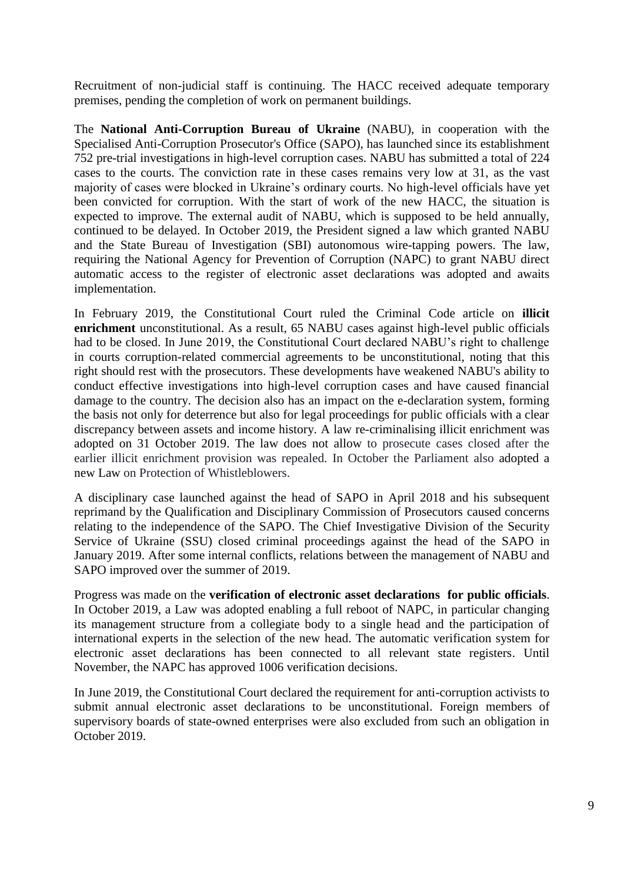Recruitment of non-judicial staff is continuing. The HACC received adequate temporary premises, pending the completion of work on permanent buildings.

The **National Anti-Corruption Bureau of Ukraine** (NABU), in cooperation with the Specialised Anti-Corruption Prosecutor's Office (SAPO), has launched since its establishment 752 pre-trial investigations in high-level corruption cases. NABU has submitted a total of 224 cases to the courts. The conviction rate in these cases remains very low at 31, as the vast majority of cases were blocked in Ukraine's ordinary courts. No high-level officials have yet been convicted for corruption. With the start of work of the new HACC, the situation is expected to improve. The external audit of NABU, which is supposed to be held annually, continued to be delayed. In October 2019, the President signed a law which granted NABU and the State Bureau of Investigation (SBI) autonomous wire-tapping powers. The law, requiring the National Agency for Prevention of Corruption (NAPC) to grant NABU direct automatic access to the register of electronic asset declarations was adopted and awaits implementation.

In February 2019, the Constitutional Court ruled the Criminal Code article on **illicit enrichment** unconstitutional. As a result, 65 NABU cases against high-level public officials had to be closed. In June 2019, the Constitutional Court declared NABU's right to challenge in courts corruption-related commercial agreements to be unconstitutional, noting that this right should rest with the prosecutors. These developments have weakened NABU's ability to conduct effective investigations into high-level corruption cases and have caused financial damage to the country. The decision also has an impact on the e-declaration system, forming the basis not only for deterrence but also for legal proceedings for public officials with a clear discrepancy between assets and income history. A law re-criminalising illicit enrichment was adopted on 31 October 2019. The law does not allow to prosecute cases closed after the earlier illicit enrichment provision was repealed. In October the Parliament also adopted a new Law on Protection of Whistleblowers.

A disciplinary case launched against the head of SAPO in April 2018 and his subsequent reprimand by the Qualification and Disciplinary Commission of Prosecutors caused concerns relating to the independence of the SAPO. The Chief Investigative Division of the Security Service of Ukraine (SSU) closed criminal proceedings against the head of the SAPO in January 2019. After some internal conflicts, relations between the management of NABU and SAPO improved over the summer of 2019.

Progress was made on the **verification of electronic asset declarations for public officials**. In October 2019, a Law was adopted enabling a full reboot of NAPC, in particular changing its management structure from a collegiate body to a single head and the participation of international experts in the selection of the new head. The automatic verification system for electronic asset declarations has been connected to all relevant state registers. Until November, the NAPC has approved 1006 verification decisions.

In June 2019, the Constitutional Court declared the requirement for anti-corruption activists to submit annual electronic asset declarations to be unconstitutional. Foreign members of supervisory boards of state-owned enterprises were also excluded from such an obligation in October 2019.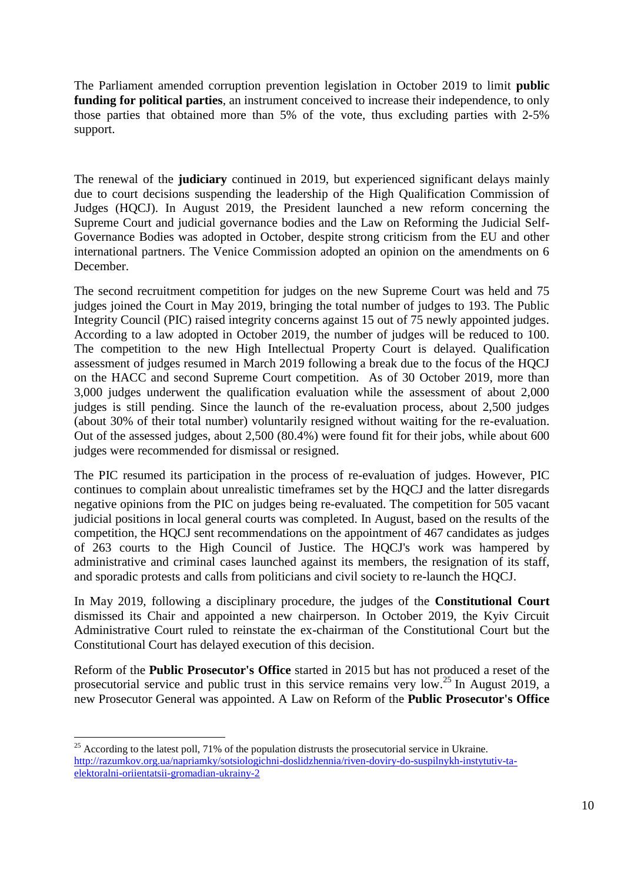The Parliament amended corruption prevention legislation in October 2019 to limit **public funding for political parties**, an instrument conceived to increase their independence, to only those parties that obtained more than 5% of the vote, thus excluding parties with 2-5% support.

The renewal of the **judiciary** continued in 2019, but experienced significant delays mainly due to court decisions suspending the leadership of the High Qualification Commission of Judges (HQCJ). In August 2019, the President launched a new reform concerning the Supreme Court and judicial governance bodies and the Law on Reforming the Judicial Self-Governance Bodies was adopted in October, despite strong criticism from the EU and other international partners. The Venice Commission adopted an opinion on the amendments on 6 December.

The second recruitment competition for judges on the new Supreme Court was held and 75 judges joined the Court in May 2019, bringing the total number of judges to 193. The Public Integrity Council (PIC) raised integrity concerns against 15 out of 75 newly appointed judges. According to a law adopted in October 2019, the number of judges will be reduced to 100. The competition to the new High Intellectual Property Court is delayed. Qualification assessment of judges resumed in March 2019 following a break due to the focus of the HQCJ on the HACC and second Supreme Court competition. As of 30 October 2019, more than 3,000 judges underwent the qualification evaluation while the assessment of about 2,000 judges is still pending. Since the launch of the re-evaluation process, about 2,500 judges (about 30% of their total number) voluntarily resigned without waiting for the re-evaluation. Out of the assessed judges, about 2,500 (80.4%) were found fit for their jobs, while about 600 judges were recommended for dismissal or resigned.

The PIC resumed its participation in the process of re-evaluation of judges. However, PIC continues to complain about unrealistic timeframes set by the HQCJ and the latter disregards negative opinions from the PIC on judges being re-evaluated. The competition for 505 vacant judicial positions in local general courts was completed. In August, based on the results of the competition, the HQCJ sent recommendations on the appointment of 467 candidates as judges of 263 courts to the High Council of Justice. The HQCJ's work was hampered by administrative and criminal cases launched against its members, the resignation of its staff, and sporadic protests and calls from politicians and civil society to re-launch the HQCJ.

In May 2019, following a disciplinary procedure, the judges of the **Constitutional Court** dismissed its Chair and appointed a new chairperson. In October 2019, the Kyiv Circuit Administrative Court ruled to reinstate the ex-chairman of the Constitutional Court but the Constitutional Court has delayed execution of this decision.

Reform of the **Public Prosecutor's Office** started in 2015 but has not produced a reset of the prosecutorial service and public trust in this service remains very low.<sup>25</sup> In August 2019, a new Prosecutor General was appointed. A Law on Reform of the **Public Prosecutor's Office** 

<sup>1</sup>  $25$  According to the latest poll, 71% of the population distrusts the prosecutorial service in Ukraine. [http://razumkov.org.ua/napriamky/sotsiologichni-doslidzhennia/riven-doviry-do-suspilnykh-instytutiv-ta](http://razumkov.org.ua/napriamky/sotsiologichni-doslidzhennia/riven-doviry-do-suspilnykh-instytutiv-ta-elektoralni-oriientatsii-gromadian-ukrainy-2)[elektoralni-oriientatsii-gromadian-ukrainy-2](http://razumkov.org.ua/napriamky/sotsiologichni-doslidzhennia/riven-doviry-do-suspilnykh-instytutiv-ta-elektoralni-oriientatsii-gromadian-ukrainy-2)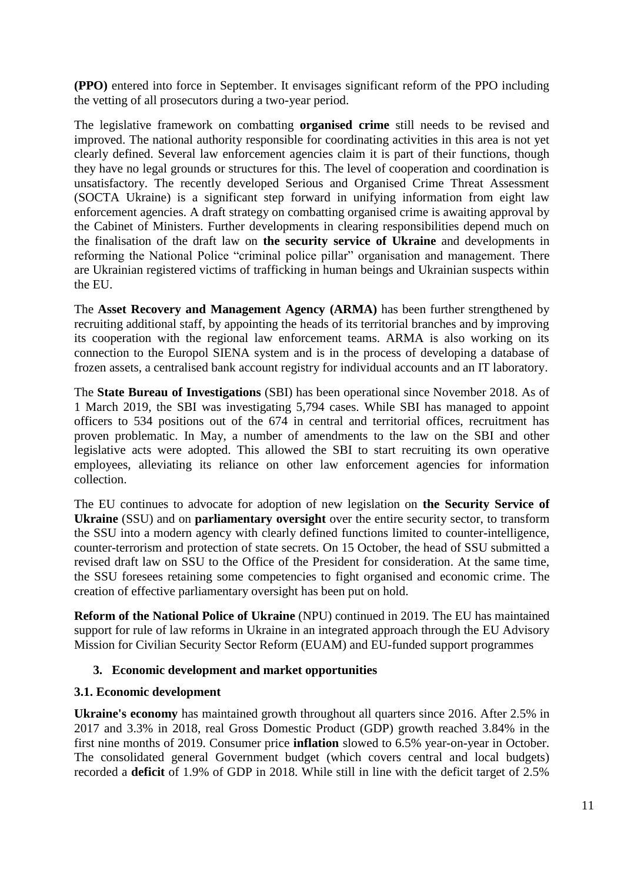**(PPO)** entered into force in September. It envisages significant reform of the PPO including the vetting of all prosecutors during a two-year period.

The legislative framework on combatting **organised crime** still needs to be revised and improved. The national authority responsible for coordinating activities in this area is not yet clearly defined. Several law enforcement agencies claim it is part of their functions, though they have no legal grounds or structures for this. The level of cooperation and coordination is unsatisfactory. The recently developed Serious and Organised Crime Threat Assessment (SOCTA Ukraine) is a significant step forward in unifying information from eight law enforcement agencies. A draft strategy on combatting organised crime is awaiting approval by the Cabinet of Ministers. Further developments in clearing responsibilities depend much on the finalisation of the draft law on **the security service of Ukraine** and developments in reforming the National Police "criminal police pillar" organisation and management. There are Ukrainian registered victims of trafficking in human beings and Ukrainian suspects within the EU.

The **Asset Recovery and Management Agency (ARMA)** has been further strengthened by recruiting additional staff, by appointing the heads of its territorial branches and by improving its cooperation with the regional law enforcement teams. ARMA is also working on its connection to the Europol SIENA system and is in the process of developing a database of frozen assets, a centralised bank account registry for individual accounts and an IT laboratory.

The **State Bureau of Investigations** (SBI) has been operational since November 2018. As of 1 March 2019, the SBI was investigating 5,794 cases. While SBI has managed to appoint officers to 534 positions out of the 674 in central and territorial offices, recruitment has proven problematic. In May, a number of amendments to the law on the SBI and other legislative acts were adopted. This allowed the SBI to start recruiting its own operative employees, alleviating its reliance on other law enforcement agencies for information collection.

The EU continues to advocate for adoption of new legislation on **the Security Service of Ukraine** (SSU) and on **parliamentary oversight** over the entire security sector, to transform the SSU into a modern agency with clearly defined functions limited to counter-intelligence, counter-terrorism and protection of state secrets. On 15 October, the head of SSU submitted a revised draft law on SSU to the Office of the President for consideration. At the same time, the SSU foresees retaining some competencies to fight organised and economic crime. The creation of effective parliamentary oversight has been put on hold.

**Reform of the National Police of Ukraine** (NPU) continued in 2019. The EU has maintained support for rule of law reforms in Ukraine in an integrated approach through the EU Advisory Mission for Civilian Security Sector Reform (EUAM) and EU-funded support programmes

## **3. Economic development and market opportunities**

## **3.1. Economic development**

**Ukraine's economy** has maintained growth throughout all quarters since 2016. After 2.5% in 2017 and 3.3% in 2018, real Gross Domestic Product (GDP) growth reached 3.84% in the first nine months of 2019. Consumer price **inflation** slowed to 6.5% year-on-year in October. The consolidated general Government budget (which covers central and local budgets) recorded a **deficit** of 1.9% of GDP in 2018. While still in line with the deficit target of 2.5%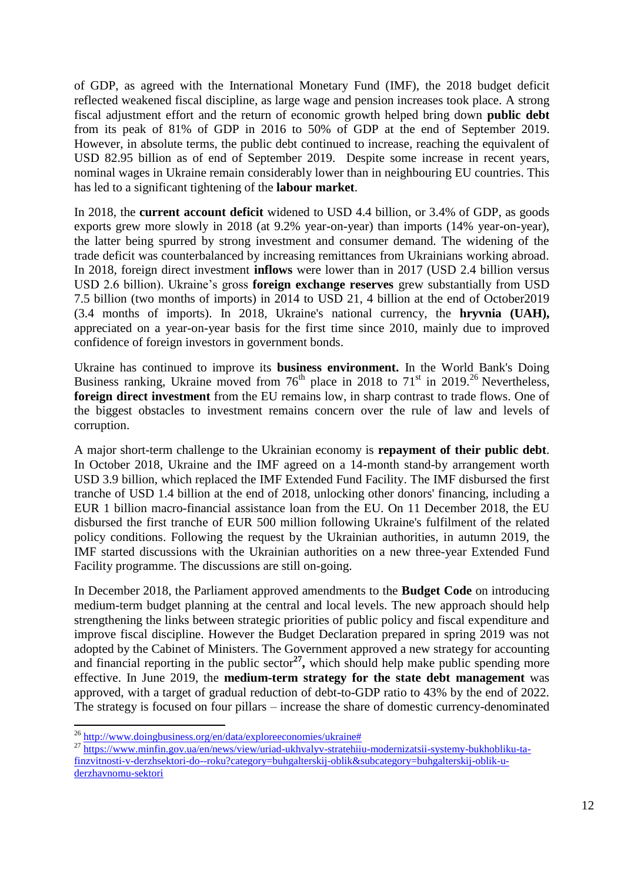of GDP, as agreed with the International Monetary Fund (IMF), the 2018 budget deficit reflected weakened fiscal discipline, as large wage and pension increases took place. A strong fiscal adjustment effort and the return of economic growth helped bring down **public debt** from its peak of 81% of GDP in 2016 to 50% of GDP at the end of September 2019. However, in absolute terms, the public debt continued to increase, reaching the equivalent of USD 82.95 billion as of end of September 2019. Despite some increase in recent years, nominal wages in Ukraine remain considerably lower than in neighbouring EU countries. This has led to a significant tightening of the **labour market**.

In 2018, the **current account deficit** widened to USD 4.4 billion, or 3.4% of GDP, as goods exports grew more slowly in 2018 (at 9.2% year-on-year) than imports (14% year-on-year), the latter being spurred by strong investment and consumer demand. The widening of the trade deficit was counterbalanced by increasing remittances from Ukrainians working abroad. In 2018, foreign direct investment **inflows** were lower than in 2017 (USD 2.4 billion versus USD 2.6 billion). Ukraine's gross **foreign exchange reserves** grew substantially from USD 7.5 billion (two months of imports) in 2014 to USD 21, 4 billion at the end of October2019 (3.4 months of imports). In 2018, Ukraine's national currency, the **hryvnia (UAH),**  appreciated on a year-on-year basis for the first time since 2010, mainly due to improved confidence of foreign investors in government bonds.

Ukraine has continued to improve its **business environment.** In the World Bank's Doing Business ranking, Ukraine moved from  $76<sup>th</sup>$  place in 2018 to  $71<sup>st</sup>$  in 2019.<sup>26</sup> Nevertheless, **foreign direct investment** from the EU remains low, in sharp contrast to trade flows. One of the biggest obstacles to investment remains concern over the rule of law and levels of corruption.

A major short-term challenge to the Ukrainian economy is **repayment of their public debt**. In October 2018, Ukraine and the IMF agreed on a 14-month stand-by arrangement worth USD 3.9 billion, which replaced the IMF Extended Fund Facility. The IMF disbursed the first tranche of USD 1.4 billion at the end of 2018, unlocking other donors' financing, including a EUR 1 billion macro-financial assistance loan from the EU. On 11 December 2018, the EU disbursed the first tranche of EUR 500 million following Ukraine's fulfilment of the related policy conditions. Following the request by the Ukrainian authorities, in autumn 2019, the IMF started discussions with the Ukrainian authorities on a new three-year Extended Fund Facility programme. The discussions are still on-going.

In December 2018, the Parliament approved amendments to the **Budget Code** on introducing medium-term budget planning at the central and local levels. The new approach should help strengthening the links between strategic priorities of public policy and fiscal expenditure and improve fiscal discipline. However the Budget Declaration prepared in spring 2019 was not adopted by the Cabinet of Ministers. The Government approved a new strategy for accounting and financial reporting in the public sector<sup>27</sup>, which should help make public spending more effective. In June 2019, the **medium-term strategy for the state debt management** was approved, with a target of gradual reduction of debt-to-GDP ratio to 43% by the end of 2022. The strategy is focused on four pillars – increase the share of domestic currency-denominated

<sup>&</sup>lt;sup>26</sup> [http://www.doingbusiness.org/en/data/exploreeconomies/ukraine#](http://www.doingbusiness.org/en/data/exploreeconomies/ukraine)

<sup>&</sup>lt;sup>27</sup> [https://www.minfin.gov.ua/en/news/view/uriad-ukhvalyv-stratehiiu-modernizatsii-systemy-bukhobliku-ta](https://www.minfin.gov.ua/en/news/view/uriad-ukhvalyv-stratehiiu-modernizatsii-systemy-bukhobliku-ta-finzvitnosti-v-derzhsektori-do--roku?category=buhgalterskij-oblik&subcategory=buhgalterskij-oblik-u-derzhavnomu-sektori)[finzvitnosti-v-derzhsektori-do--roku?category=buhgalterskij-oblik&subcategory=buhgalterskij-oblik-u](https://www.minfin.gov.ua/en/news/view/uriad-ukhvalyv-stratehiiu-modernizatsii-systemy-bukhobliku-ta-finzvitnosti-v-derzhsektori-do--roku?category=buhgalterskij-oblik&subcategory=buhgalterskij-oblik-u-derzhavnomu-sektori)[derzhavnomu-sektori](https://www.minfin.gov.ua/en/news/view/uriad-ukhvalyv-stratehiiu-modernizatsii-systemy-bukhobliku-ta-finzvitnosti-v-derzhsektori-do--roku?category=buhgalterskij-oblik&subcategory=buhgalterskij-oblik-u-derzhavnomu-sektori)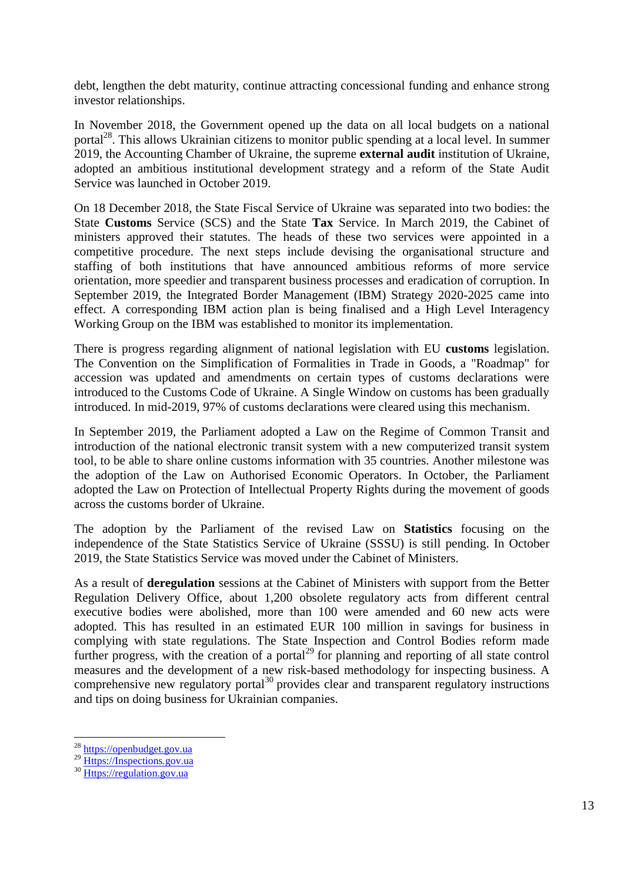debt, lengthen the debt maturity, continue attracting concessional funding and enhance strong investor relationships.

In November 2018, the Government opened up the data on all local budgets on a national portal<sup>28</sup>. This allows Ukrainian citizens to monitor public spending at a local level. In summer 2019, the Accounting Chamber of Ukraine, the supreme **external audit** institution of Ukraine, adopted an ambitious institutional development strategy and a reform of the State Audit Service was launched in October 2019.

On 18 December 2018, the State Fiscal Service of Ukraine was separated into two bodies: the State **Customs** Service (SCS) and the State **Tax** Service. In March 2019, the Cabinet of ministers approved their statutes. The heads of these two services were appointed in a competitive procedure. The next steps include devising the organisational structure and staffing of both institutions that have announced ambitious reforms of more service orientation, more speedier and transparent business processes and eradication of corruption. In September 2019, the Integrated Border Management (IBM) Strategy 2020-2025 came into effect. A corresponding IBM action plan is being finalised and a High Level [Interagency](https://eu-ua.org/novyny/ivanna-klympush-cyncadze-ocholyla-mizhvidomchu-robochu-grupu-z-pytan-koordynaciyi)  [Working Group on the IBM](https://eu-ua.org/novyny/ivanna-klympush-cyncadze-ocholyla-mizhvidomchu-robochu-grupu-z-pytan-koordynaciyi) was established to monitor its implementation.

There is progress regarding alignment of national legislation with EU **customs** legislation. The Convention on the Simplification of Formalities in Trade in Goods, a "Roadmap" for accession was updated and amendments on certain types of customs declarations were introduced to the Customs Code of Ukraine. A Single Window on customs has been gradually introduced. In mid-2019, 97% of customs declarations were cleared using this mechanism.

In September 2019, the Parliament adopted a Law on the Regime of Common Transit and introduction of the national electronic transit system with a new computerized transit system tool, to be able to share online customs information with 35 countries. Another milestone was the adoption of the Law on Authorised Economic Operators. In October, the Parliament adopted the Law on Protection of Intellectual Property Rights during the movement of goods across the customs border of Ukraine.

The adoption by the Parliament of the revised Law on **Statistics** focusing on the independence of the State Statistics Service of Ukraine (SSSU) is still pending. In October 2019, the State Statistics Service was moved under the Cabinet of Ministers.

As a result of **deregulation** sessions at the Cabinet of Ministers with support from the Better Regulation Delivery Office, about 1,200 obsolete regulatory acts from different central executive bodies were abolished, more than 100 were amended and 60 new acts were adopted. This has resulted in an estimated EUR 100 million in savings for business in complying with state regulations. The State Inspection and Control Bodies reform made further progress, with the creation of a portal<sup>29</sup> for planning and reporting of all state control measures and the development of a new risk-based methodology for inspecting business. A comprehensive new regulatory portal $^{30}$  provides clear and transparent regulatory instructions and tips on doing business for Ukrainian companies.

1

<sup>&</sup>lt;sup>28</sup> [https://openbudget.gov.ua](https://openbudget.gov.ua/)

<sup>&</sup>lt;sup>29</sup> [Https://Inspections.gov.ua](https://inspections.gov.ua/)

<sup>30</sup> [Https://regulation.gov.ua](https://regulation.gov.ua/)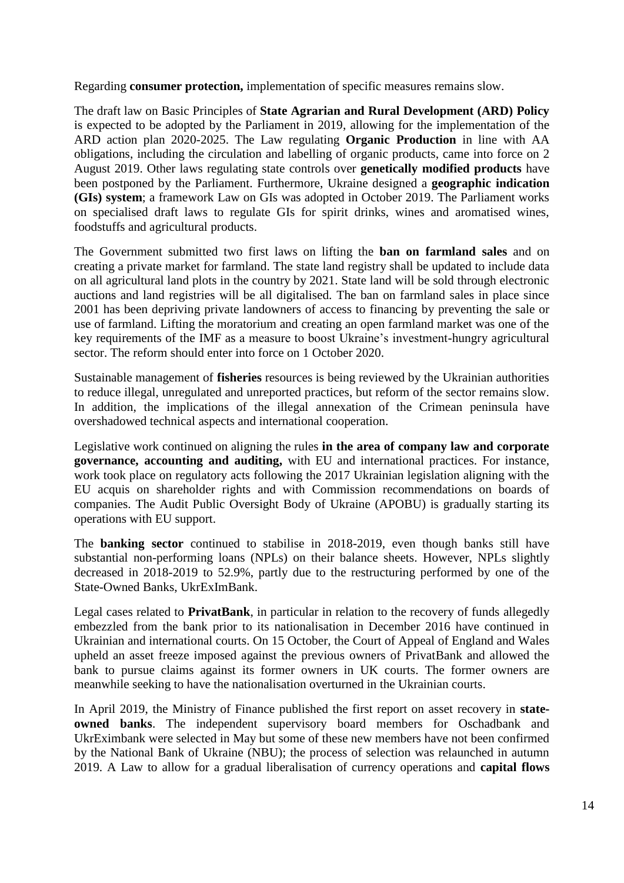Regarding **consumer protection,** implementation of specific measures remains slow.

The draft law on Basic Principles of **State Agrarian and Rural Development (ARD) Policy** is expected to be adopted by the Parliament in 2019, allowing for the implementation of the ARD action plan 2020-2025. The Law regulating **Organic Production** in line with AA obligations, including the circulation and labelling of organic products, came into force on 2 August 2019. Other laws regulating state controls over **genetically modified products** have been postponed by the Parliament. Furthermore, Ukraine designed a **geographic indication (GIs) system**; a framework Law on GIs was adopted in October 2019. The Parliament works on specialised draft laws to regulate GIs for spirit drinks, wines and aromatised wines, foodstuffs and agricultural products.

The Government submitted two first laws on lifting the **ban on farmland sales** and on creating a private market for farmland. The state land registry shall be updated to include data on all agricultural land plots in the country by 2021. State land will be sold through electronic auctions and land registries will be all digitalised. The ban on farmland sales in place since 2001 has been depriving private landowners of access to financing by preventing the sale or use of farmland. Lifting the moratorium and creating an open farmland market was one of the key requirements of the IMF as a measure to boost Ukraine's investment-hungry agricultural sector. The reform should enter into force on 1 October 2020.

Sustainable management of **fisheries** resources is being reviewed by the Ukrainian authorities to reduce illegal, unregulated and unreported practices, but reform of the sector remains slow. In addition, the implications of the illegal annexation of the Crimean peninsula have overshadowed technical aspects and international cooperation.

Legislative work continued on aligning the rules **in the area of company law and corporate governance, accounting and auditing,** with EU and international practices. For instance, work took place on regulatory acts following the 2017 Ukrainian legislation aligning with the EU acquis on shareholder rights and with Commission recommendations on boards of companies. The Audit Public Oversight Body of Ukraine (APOBU) is gradually starting its operations with EU support.

The **banking sector** continued to stabilise in 2018-2019, even though banks still have substantial non-performing loans (NPLs) on their balance sheets. However, NPLs slightly decreased in 2018-2019 to 52.9%, partly due to the restructuring performed by one of the State-Owned Banks, UkrExImBank.

Legal cases related to **PrivatBank**, in particular in relation to the recovery of funds allegedly embezzled from the bank prior to its nationalisation in December 2016 have continued in Ukrainian and international courts. On 15 October, the Court of Appeal of England and Wales upheld an asset freeze imposed against the previous owners of PrivatBank and allowed the bank to pursue claims against its former owners in UK courts. The former owners are meanwhile seeking to have the nationalisation overturned in the Ukrainian courts.

In April 2019, the Ministry of Finance published the first report on asset recovery in **stateowned banks**. The independent supervisory board members for Oschadbank and UkrEximbank were selected in May but some of these new members have not been confirmed by the National Bank of Ukraine (NBU); the process of selection was relaunched in autumn 2019. A Law to allow for a gradual liberalisation of currency operations and **capital flows**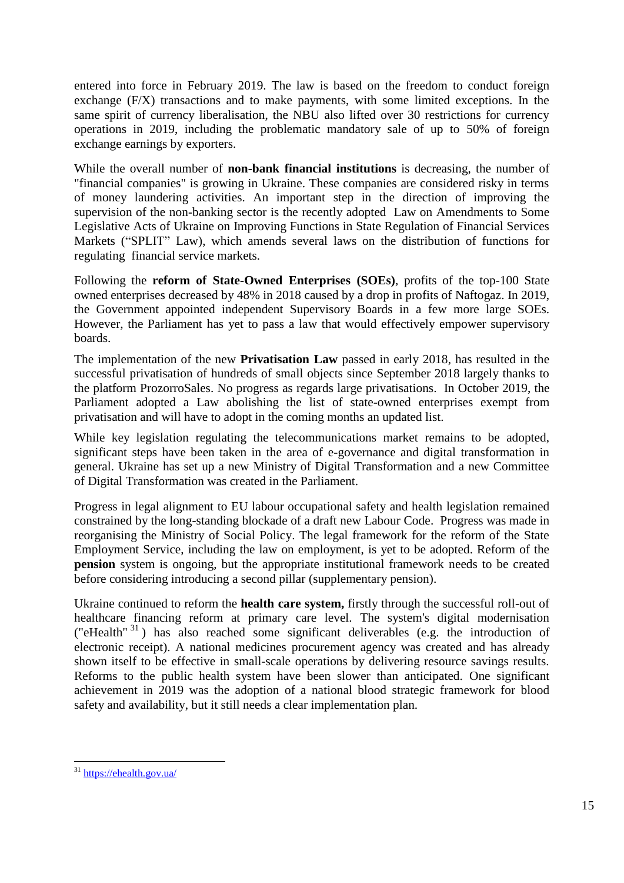entered into force in February 2019. The law is based on the freedom to conduct foreign exchange (F/X) transactions and to make payments, with some limited exceptions. In the same spirit of currency liberalisation, the NBU also lifted over 30 restrictions for currency operations in 2019, including the problematic mandatory sale of up to 50% of foreign exchange earnings by exporters.

While the overall number of **non-bank financial institutions** is decreasing, the number of "financial companies" is growing in Ukraine. These companies are considered risky in terms of money laundering activities. An important step in the direction of improving the supervision of the non-banking sector is the recently adopted Law on Amendments to Some Legislative Acts of Ukraine on Improving Functions in State Regulation of Financial Services Markets ("SPLIT" Law), which amends several laws on the distribution of functions for regulating financial service markets.

Following the **reform of State-Owned Enterprises (SOEs)**, profits of the top-100 State owned enterprises decreased by 48% in 2018 caused by a drop in profits of Naftogaz. In 2019, the Government appointed independent Supervisory Boards in a few more large SOEs. However, the Parliament has yet to pass a law that would effectively empower supervisory boards.

The implementation of the new **Privatisation Law** passed in early 2018, has resulted in the successful privatisation of hundreds of small objects since September 2018 largely thanks to the platform ProzorroSales. No progress as regards large privatisations. In October 2019, the Parliament adopted a Law abolishing the list of state-owned enterprises exempt from privatisation and will have to adopt in the coming months an updated list.

While key legislation regulating the telecommunications market remains to be adopted, significant steps have been taken in the area of e-governance and digital transformation in general. Ukraine has set up a new Ministry of Digital Transformation and a new Committee of Digital Transformation was created in the Parliament.

Progress in legal alignment to EU labour occupational safety and health legislation remained constrained by the long-standing blockade of a draft new Labour Code. Progress was made in reorganising the Ministry of Social Policy. The legal framework for the reform of the State Employment Service, including the law on employment, is yet to be adopted. Reform of the **pension** system is ongoing, but the appropriate institutional framework needs to be created before considering introducing a second pillar (supplementary pension).

Ukraine continued to reform the **health care system,** firstly through the successful roll-out of healthcare financing reform at primary care level. The system's digital modernisation ("eHealth" <sup>31</sup> ) has also reached some significant deliverables (e.g. the introduction of electronic receipt). A national medicines procurement agency was created and has already shown itself to be effective in small-scale operations by delivering resource savings results. Reforms to the public health system have been slower than anticipated. One significant achievement in 2019 was the adoption of a national blood strategic framework for blood safety and availability, but it still needs a clear implementation plan.

<sup>31</sup> <https://ehealth.gov.ua/>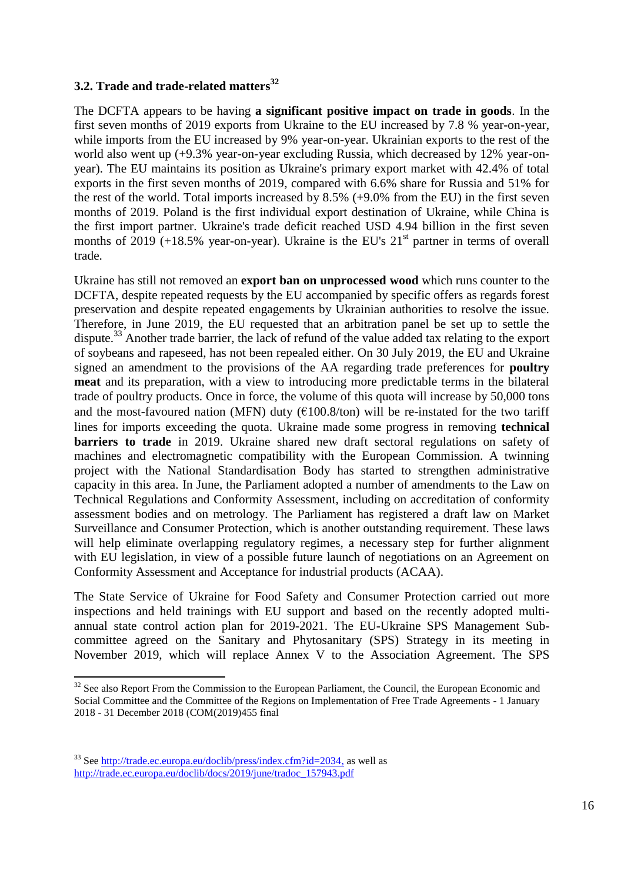## **3.2. Trade and trade-related matters<sup>32</sup>**

The DCFTA appears to be having **a significant positive impact on trade in goods**. In the first seven months of 2019 exports from Ukraine to the EU increased by 7.8 % year-on-year, while imports from the EU increased by 9% year-on-year. Ukrainian exports to the rest of the world also went up (+9.3% year-on-year excluding Russia, which decreased by 12% year-onyear). The EU maintains its position as Ukraine's primary export market with 42.4% of total exports in the first seven months of 2019, compared with 6.6% share for Russia and 51% for the rest of the world. Total imports increased by 8.5% (+9.0% from the EU) in the first seven months of 2019. Poland is the first individual export destination of Ukraine, while China is the first import partner. Ukraine's trade deficit reached USD 4.94 billion in the first seven months of  $2019$  (+18.5% year-on-year). Ukraine is the EU's  $21<sup>st</sup>$  partner in terms of overall trade.

Ukraine has still not removed an **export ban on unprocessed wood** which runs counter to the DCFTA, despite repeated requests by the EU accompanied by specific offers as regards forest preservation and despite repeated engagements by Ukrainian authorities to resolve the issue. Therefore, in June 2019, the EU requested that an arbitration panel be set up to settle the dispute.<sup>33</sup> Another trade barrier, the lack of refund of the value added tax relating to the export of soybeans and rapeseed, has not been repealed either. On 30 July 2019, the EU and Ukraine signed an amendment to the provisions of the AA regarding trade preferences for **poultry meat** and its preparation, with a view to introducing more predictable terms in the bilateral trade of poultry products. Once in force, the volume of this quota will increase by 50,000 tons and the most-favoured nation (MFN) duty ( $\epsilon$ 100.8/ton) will be re-instated for the two tariff lines for imports exceeding the quota. Ukraine made some progress in removing **technical barriers to trade** in 2019. Ukraine shared new draft sectoral regulations on safety of machines and electromagnetic compatibility with the European Commission. A twinning project with the National Standardisation Body has started to strengthen administrative capacity in this area. In June, the Parliament adopted a number of amendments to the Law on Technical Regulations and Conformity Assessment, including on accreditation of conformity assessment bodies and on metrology. The Parliament has registered a draft law on Market Surveillance and Consumer Protection, which is another outstanding requirement. These laws will help eliminate overlapping regulatory regimes, a necessary step for further alignment with EU legislation, in view of a possible future launch of negotiations on an Agreement on Conformity Assessment and Acceptance for industrial products (ACAA).

The State Service of Ukraine for Food Safety and Consumer Protection carried out more inspections and held trainings with EU support and based on the recently adopted multiannual state control action plan for 2019-2021. The EU-Ukraine SPS Management Subcommittee agreed on the Sanitary and Phytosanitary (SPS) Strategy in its meeting in November 2019, which will replace Annex V to the Association Agreement. The SPS

 $32$  See also Report From the Commission to the European Parliament, the Council, the European Economic and Social Committee and the Committee of the Regions on Implementation of Free Trade Agreements - 1 January 2018 - 31 December 2018 (COM(2019)455 final

<sup>33</sup> See [http://trade.ec.europa.eu/doclib/press/index.cfm?id=2034,](http://trade.ec.europa.eu/doclib/press/index.cfm?id=2034) as well as [http://trade.ec.europa.eu/doclib/docs/2019/june/tradoc\\_157943.pdf](http://trade.ec.europa.eu/doclib/docs/2019/june/tradoc_157943.pdf)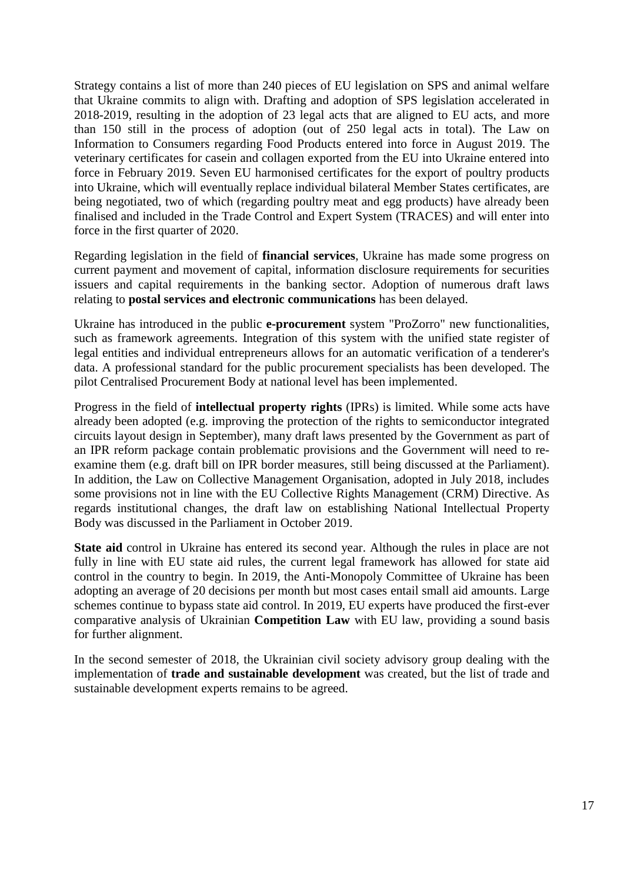Strategy contains a list of more than 240 pieces of EU legislation on SPS and animal welfare that Ukraine commits to align with. Drafting and adoption of SPS legislation accelerated in 2018-2019, resulting in the adoption of 23 legal acts that are aligned to EU acts, and more than 150 still in the process of adoption (out of 250 legal acts in total). The Law on Information to Consumers regarding Food Products entered into force in August 2019. The veterinary certificates for casein and collagen exported from the EU into Ukraine entered into force in February 2019. Seven EU harmonised certificates for the export of poultry products into Ukraine, which will eventually replace individual bilateral Member States certificates, are being negotiated, two of which (regarding poultry meat and egg products) have already been finalised and included in the Trade Control and Expert System (TRACES) and will enter into force in the first quarter of 2020.

Regarding legislation in the field of **financial services**, Ukraine has made some progress on current payment and movement of capital, information disclosure requirements for securities issuers and capital requirements in the banking sector. Adoption of numerous draft laws relating to **postal services and electronic communications** has been delayed.

Ukraine has introduced in the public **e-procurement** system "ProZorro" new functionalities, such as framework agreements. Integration of this system with the unified state register of legal entities and individual entrepreneurs allows for an automatic verification of a tenderer's data. A professional standard for the public procurement specialists has been developed. The pilot Centralised Procurement Body at national level has been implemented.

Progress in the field of **intellectual property rights** (IPRs) is limited. While some acts have already been adopted (e.g. improving the protection of the rights to semiconductor integrated circuits layout design in September), many draft laws presented by the Government as part of an IPR reform package contain problematic provisions and the Government will need to reexamine them (e.g. draft bill on IPR border measures, still being discussed at the Parliament). In addition, the Law on Collective Management Organisation, adopted in July 2018, includes some provisions not in line with the EU Collective Rights Management (CRM) Directive. As regards institutional changes, the draft law on establishing National Intellectual Property Body was discussed in the Parliament in October 2019.

**State aid** control in Ukraine has entered its second year. Although the rules in place are not fully in line with EU state aid rules, the current legal framework has allowed for state aid control in the country to begin. In 2019, the Anti-Monopoly Committee of Ukraine has been adopting an average of 20 decisions per month but most cases entail small aid amounts. Large schemes continue to bypass state aid control. In 2019, EU experts have produced the first-ever comparative analysis of Ukrainian **Competition Law** with EU law, providing a sound basis for further alignment.

In the second semester of 2018, the Ukrainian civil society advisory group dealing with the implementation of **trade and sustainable development** was created, but the list of trade and sustainable development experts remains to be agreed.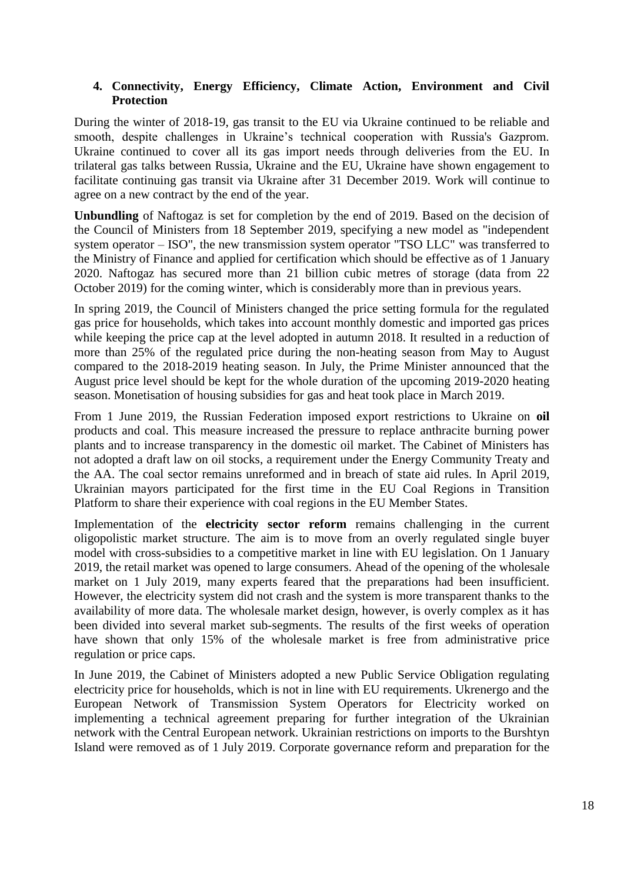## **4. Connectivity, Energy Efficiency, Climate Action, Environment and Civil Protection**

During the winter of 2018-19, gas transit to the EU via Ukraine continued to be reliable and smooth, despite challenges in Ukraine's technical cooperation with Russia's Gazprom. Ukraine continued to cover all its gas import needs through deliveries from the EU. In trilateral gas talks between Russia, Ukraine and the EU, Ukraine have shown engagement to facilitate continuing gas transit via Ukraine after 31 December 2019. Work will continue to agree on a new contract by the end of the year.

**Unbundling** of Naftogaz is set for completion by the end of 2019. Based on the decision of the Council of Ministers from 18 September 2019, specifying a new model as "independent system operator – ISO", the new transmission system operator "TSO LLC" was transferred to the Ministry of Finance and applied for certification which should be effective as of 1 January 2020. Naftogaz has secured more than 21 billion cubic metres of storage (data from 22 October 2019) for the coming winter, which is considerably more than in previous years.

In spring 2019, the Council of Ministers changed the price setting formula for the regulated gas price for households, which takes into account monthly domestic and imported gas prices while keeping the price cap at the level adopted in autumn 2018. It resulted in a reduction of more than 25% of the regulated price during the non-heating season from May to August compared to the 2018-2019 heating season. In July, the Prime Minister announced that the August price level should be kept for the whole duration of the upcoming 2019-2020 heating season. Monetisation of housing subsidies for gas and heat took place in March 2019.

From 1 June 2019, the Russian Federation imposed export restrictions to Ukraine on **oil** products and coal. This measure increased the pressure to replace anthracite burning power plants and to increase transparency in the domestic oil market. The Cabinet of Ministers has not adopted a draft law on oil stocks, a requirement under the Energy Community Treaty and the AA. The coal sector remains unreformed and in breach of state aid rules. In April 2019, Ukrainian mayors participated for the first time in the EU Coal Regions in Transition Platform to share their experience with coal regions in the EU Member States.

Implementation of the **electricity sector reform** remains challenging in the current oligopolistic market structure. The aim is to move from an overly regulated single buyer model with cross-subsidies to a competitive market in line with EU legislation. On 1 January 2019, the retail market was opened to large consumers. Ahead of the opening of the wholesale market on 1 July 2019, many experts feared that the preparations had been insufficient. However, the electricity system did not crash and the system is more transparent thanks to the availability of more data. The wholesale market design, however, is overly complex as it has been divided into several market sub-segments. The results of the first weeks of operation have shown that only 15% of the wholesale market is free from administrative price regulation or price caps.

In June 2019, the Cabinet of Ministers adopted a new Public Service Obligation regulating electricity price for households, which is not in line with EU requirements. Ukrenergo and the European Network of Transmission System Operators for Electricity worked on implementing a technical agreement preparing for further integration of the Ukrainian network with the Central European network. Ukrainian restrictions on imports to the Burshtyn Island were removed as of 1 July 2019. Corporate governance reform and preparation for the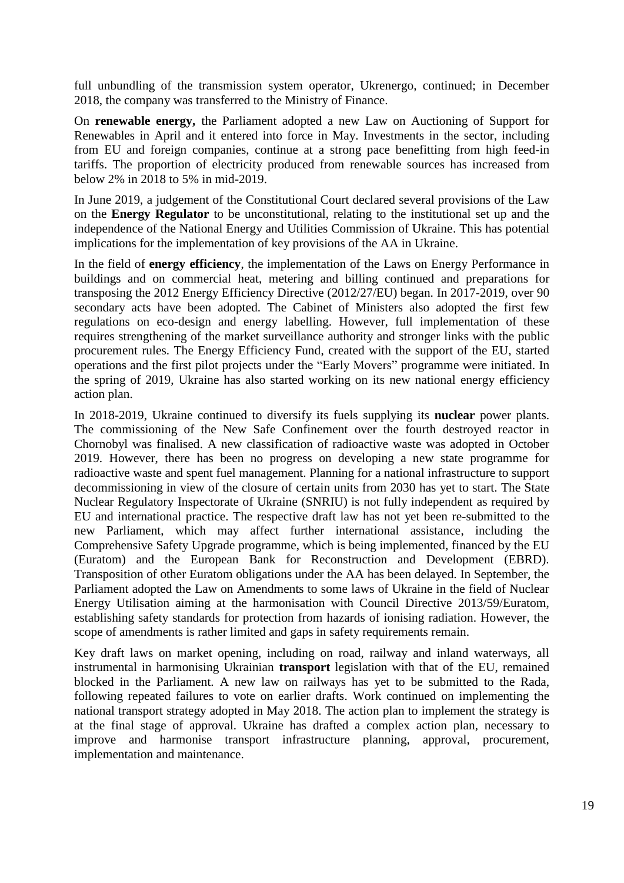full unbundling of the transmission system operator, Ukrenergo, continued; in December 2018, the company was transferred to the Ministry of Finance.

On **renewable energy,** the Parliament adopted a new Law on Auctioning of Support for Renewables in April and it entered into force in May. Investments in the sector, including from EU and foreign companies, continue at a strong pace benefitting from high feed-in tariffs. The proportion of electricity produced from renewable sources has increased from below 2% in 2018 to 5% in mid-2019.

In June 2019, a judgement of the Constitutional Court declared several provisions of the Law on the **Energy Regulator** to be unconstitutional, relating to the institutional set up and the independence of the National Energy and Utilities Commission of Ukraine. This has potential implications for the implementation of key provisions of the AA in Ukraine.

In the field of **energy efficiency**, the implementation of the Laws on Energy Performance in buildings and on commercial heat, metering and billing continued and preparations for transposing the 2012 Energy Efficiency Directive (2012/27/EU) began. In 2017-2019, over 90 secondary acts have been adopted. The Cabinet of Ministers also adopted the first few regulations on eco-design and energy labelling. However, full implementation of these requires strengthening of the market surveillance authority and stronger links with the public procurement rules. The Energy Efficiency Fund, created with the support of the EU, started operations and the first pilot projects under the "Early Movers" programme were initiated. In the spring of 2019, Ukraine has also started working on its new national energy efficiency action plan.

In 2018-2019, Ukraine continued to diversify its fuels supplying its **nuclear** power plants. The commissioning of the New Safe Confinement over the fourth destroyed reactor in Chornobyl was finalised. A new classification of radioactive waste was adopted in October 2019. However, there has been no progress on developing a new state programme for radioactive waste and spent fuel management. Planning for a national infrastructure to support decommissioning in view of the closure of certain units from 2030 has yet to start. The State Nuclear Regulatory Inspectorate of Ukraine (SNRIU) is not fully independent as required by EU and international practice. The respective draft law has not yet been re-submitted to the new Parliament, which may affect further international assistance, including the Comprehensive Safety Upgrade programme, which is being implemented, financed by the EU (Euratom) and the European Bank for Reconstruction and Development (EBRD). Transposition of other Euratom obligations under the AA has been delayed. In September, the Parliament adopted the Law on Amendments to some laws of Ukraine in the field of Nuclear Energy Utilisation aiming at the harmonisation with Council Directive 2013/59/Euratom, establishing safety standards for protection from hazards of ionising radiation. However, the scope of amendments is rather limited and gaps in safety requirements remain.

Key draft laws on market opening, including on road, railway and inland waterways, all instrumental in harmonising Ukrainian **transport** legislation with that of the EU, remained blocked in the Parliament. A new law on railways has yet to be submitted to the Rada, following repeated failures to vote on earlier drafts. Work continued on implementing the national transport strategy adopted in May 2018. The action plan to implement the strategy is at the final stage of approval. Ukraine has drafted a complex action plan, necessary to improve and harmonise transport infrastructure planning, approval, procurement, implementation and maintenance.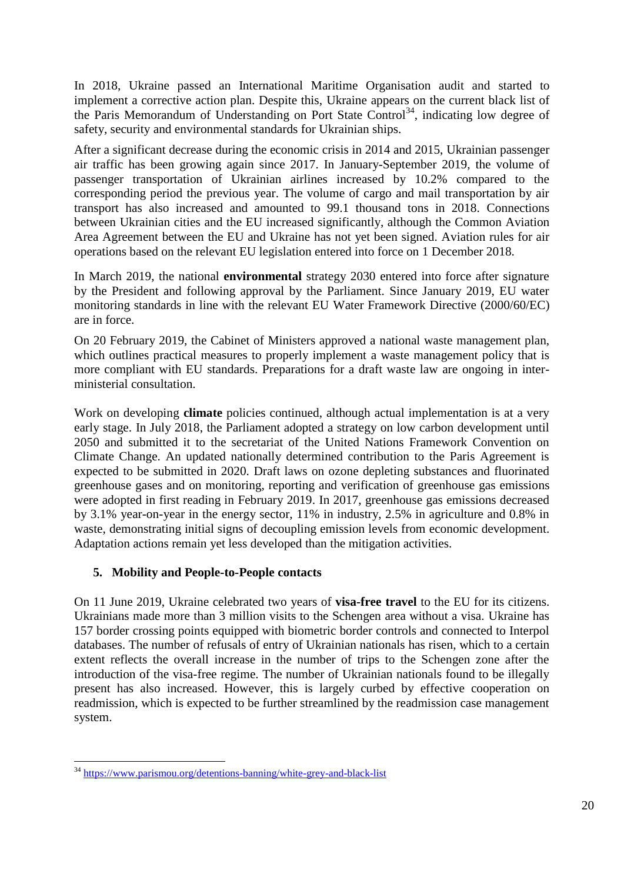In 2018, Ukraine passed an International Maritime Organisation audit and started to implement a corrective action plan. Despite this, Ukraine appears on the current black list of the Paris Memorandum of Understanding on Port State Control<sup>34</sup>, indicating low degree of safety, security and environmental standards for Ukrainian ships.

After a significant decrease during the economic crisis in 2014 and 2015, Ukrainian passenger air traffic has been growing again since 2017. In January-September 2019, the volume of passenger transportation of Ukrainian airlines increased by 10.2% compared to the corresponding period the previous year. The volume of cargo and mail transportation by air transport has also increased and amounted to 99.1 thousand tons in 2018. Connections between Ukrainian cities and the EU increased significantly, although the Common Aviation Area Agreement between the EU and Ukraine has not yet been signed. Aviation rules for air operations based on the relevant EU legislation entered into force on 1 December 2018.

In March 2019, the national **environmental** strategy 2030 entered into force after signature by the President and following approval by the Parliament. Since January 2019, EU water monitoring standards in line with the relevant EU Water Framework Directive (2000/60/EC) are in force.

On 20 February 2019, the Cabinet of Ministers approved a national waste management plan, which outlines practical measures to properly implement a waste management policy that is more compliant with EU standards. Preparations for a draft waste law are ongoing in interministerial consultation.

Work on developing **climate** policies continued, although actual implementation is at a very early stage. In July 2018, the Parliament adopted a strategy on low carbon development until 2050 and submitted it to the secretariat of the United Nations Framework Convention on Climate Change. An updated nationally determined contribution to the Paris Agreement is expected to be submitted in 2020. Draft laws on ozone depleting substances and fluorinated greenhouse gases and on monitoring, reporting and verification of greenhouse gas emissions were adopted in first reading in February 2019. In 2017, greenhouse gas emissions decreased by 3.1% year-on-year in the energy sector, 11% in industry, 2.5% in agriculture and 0.8% in waste, demonstrating initial signs of decoupling emission levels from economic development. Adaptation actions remain yet less developed than the mitigation activities.

## **5. Mobility and People-to-People contacts**

On 11 June 2019, Ukraine celebrated two years of **visa-free travel** to the EU for its citizens. Ukrainians made more than 3 million visits to the Schengen area without a visa. Ukraine has 157 border crossing points equipped with biometric border controls and connected to Interpol databases. The number of refusals of entry of Ukrainian nationals has risen, which to a certain extent reflects the overall increase in the number of trips to the Schengen zone after the introduction of the visa-free regime. The number of Ukrainian nationals found to be illegally present has also increased. However, this is largely curbed by effective cooperation on readmission, which is expected to be further streamlined by the readmission case management system.

**<sup>.</sup>** <sup>34</sup> <https://www.parismou.org/detentions-banning/white-grey-and-black-list>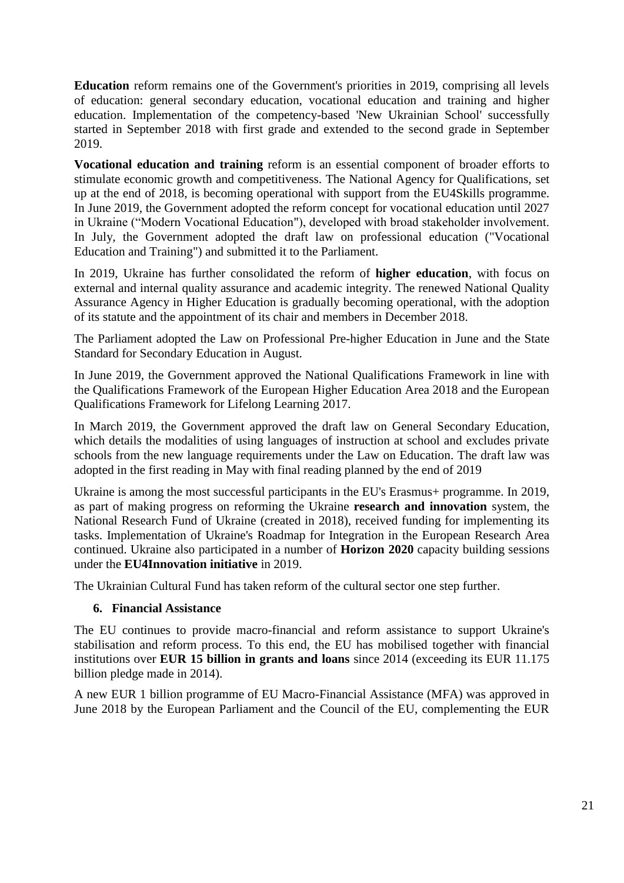**Education** reform remains one of the Government's priorities in 2019, comprising all levels of education: general secondary education, vocational education and training and higher education. Implementation of the competency-based 'New Ukrainian School' successfully started in September 2018 with first grade and extended to the second grade in September 2019.

**Vocational education and training** reform is an essential component of broader efforts to stimulate economic growth and competitiveness. The National Agency for Qualifications, set up at the end of 2018, is becoming operational with support from the EU4Skills programme. In June 2019, the Government adopted the reform concept for vocational education until 2027 in Ukraine ("Modern Vocational Education"), developed with broad stakeholder involvement. In July, the Government adopted the draft law on professional education ("Vocational Education and Training") and submitted it to the Parliament.

In 2019, Ukraine has further consolidated the reform of **higher education**, with focus on external and internal quality assurance and academic integrity. The renewed National Quality Assurance Agency in Higher Education is gradually becoming operational, with the adoption of its statute and the appointment of its chair and members in December 2018.

The Parliament adopted the Law on Professional Pre-higher Education in June and the State Standard for Secondary Education in August.

In June 2019, the Government approved the National Qualifications Framework in line with the Qualifications Framework of the European Higher Education Area 2018 and the European Qualifications Framework for Lifelong Learning 2017.

In March 2019, the Government approved the draft law on General Secondary Education, which details the modalities of using languages of instruction at school and excludes private schools from the new language requirements under the Law on Education. The draft law was adopted in the first reading in May with final reading planned by the end of 2019

Ukraine is among the most successful participants in the EU's Erasmus+ programme. In 2019, as part of making progress on reforming the Ukraine **research and innovation** system, the National Research Fund of Ukraine (created in 2018), received funding for implementing its tasks. Implementation of Ukraine's Roadmap for Integration in the European Research Area continued. Ukraine also participated in a number of **Horizon 2020** capacity building sessions under the **EU4Innovation initiative** in 2019.

The Ukrainian Cultural Fund has taken reform of the cultural sector one step further.

#### **6. Financial Assistance**

The EU continues to provide macro-financial and reform assistance to support Ukraine's stabilisation and reform process. To this end, the EU has mobilised together with financial institutions over **EUR 15 billion in grants and loans** since 2014 (exceeding its EUR 11.175 billion pledge made in 2014).

A new EUR 1 billion programme of EU Macro-Financial Assistance (MFA) was approved in June 2018 by the European Parliament and the Council of the EU, complementing the EUR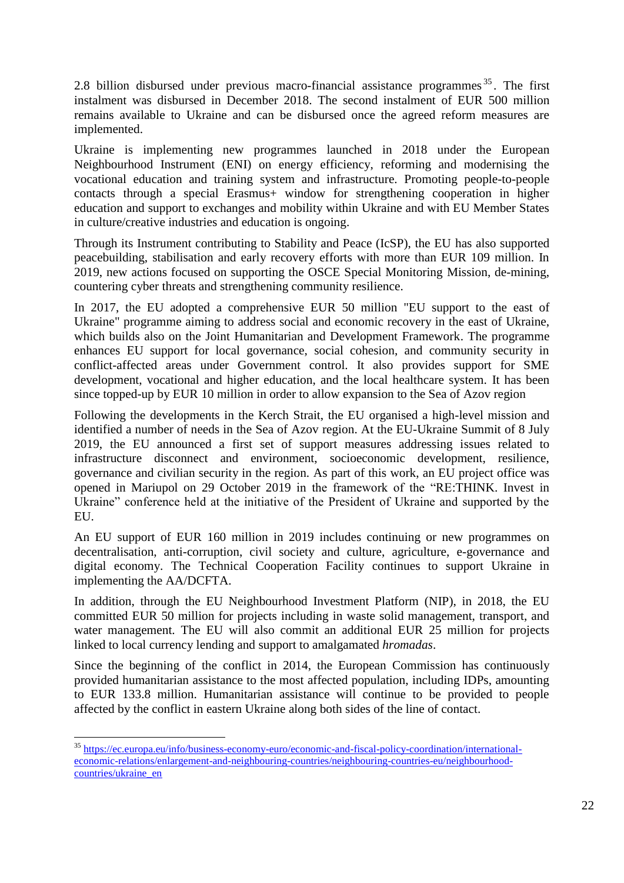2.8 billion disbursed under previous macro-financial assistance programmes<sup>35</sup>. The first instalment was disbursed in December 2018. The second instalment of EUR 500 million remains available to Ukraine and can be disbursed once the agreed reform measures are implemented.

Ukraine is implementing new programmes launched in 2018 under the European Neighbourhood Instrument (ENI) on energy efficiency, reforming and modernising the vocational education and training system and infrastructure. Promoting people-to-people contacts through a special Erasmus+ window for strengthening cooperation in higher education and support to exchanges and mobility within Ukraine and with EU Member States in culture/creative industries and education is ongoing.

Through its Instrument contributing to Stability and Peace (IcSP), the EU has also supported peacebuilding, stabilisation and early recovery efforts with more than EUR 109 million. In 2019, new actions focused on supporting the OSCE Special Monitoring Mission, de-mining, countering cyber threats and strengthening community resilience.

In 2017, the EU adopted a comprehensive EUR 50 million "EU support to the east of Ukraine" programme aiming to address social and economic recovery in the east of Ukraine, which builds also on the Joint Humanitarian and Development Framework. The programme enhances EU support for local governance, social cohesion, and community security in conflict-affected areas under Government control. It also provides support for SME development, vocational and higher education, and the local healthcare system. It has been since topped-up by EUR 10 million in order to allow expansion to the Sea of Azov region

Following the developments in the Kerch Strait, the EU organised a high-level mission and identified a number of needs in the Sea of Azov region. At the EU-Ukraine Summit of 8 July 2019, the EU announced a first set of support measures addressing issues related to infrastructure disconnect and environment, socioeconomic development, resilience, governance and civilian security in the region. As part of this work, an EU project office was opened in Mariupol on 29 October 2019 in the framework of the "RE:THINK. Invest in Ukraine" conference held at the initiative of the President of Ukraine and supported by the EU.

An EU support of EUR 160 million in 2019 includes continuing or new programmes on decentralisation, anti-corruption, civil society and culture, agriculture, e-governance and digital economy. The Technical Cooperation Facility continues to support Ukraine in implementing the AA/DCFTA.

In addition, through the EU Neighbourhood Investment Platform (NIP), in 2018, the EU committed EUR 50 million for projects including in waste solid management, transport, and water management. The EU will also commit an additional EUR 25 million for projects linked to local currency lending and support to amalgamated *hromadas*.

Since the beginning of the conflict in 2014, the European Commission has continuously provided humanitarian assistance to the most affected population, including IDPs, amounting to EUR 133.8 million. Humanitarian assistance will continue to be provided to people affected by the conflict in eastern Ukraine along both sides of the line of contact.

1

<sup>&</sup>lt;sup>35</sup> [https://ec.europa.eu/info/business-economy-euro/economic-and-fiscal-policy-coordination/international](https://ec.europa.eu/info/business-economy-euro/economic-and-fiscal-policy-coordination/international-economic-relations/enlargement-and-neighbouring-countries/neighbouring-countries-eu/neighbourhood-countries/ukraine_en)[economic-relations/enlargement-and-neighbouring-countries/neighbouring-countries-eu/neighbourhood](https://ec.europa.eu/info/business-economy-euro/economic-and-fiscal-policy-coordination/international-economic-relations/enlargement-and-neighbouring-countries/neighbouring-countries-eu/neighbourhood-countries/ukraine_en)[countries/ukraine\\_en](https://ec.europa.eu/info/business-economy-euro/economic-and-fiscal-policy-coordination/international-economic-relations/enlargement-and-neighbouring-countries/neighbouring-countries-eu/neighbourhood-countries/ukraine_en)